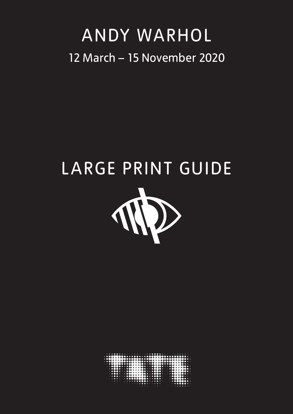### ANDY WARHOL 12 March – 15 November 2020

# LARGE PRINT GUIDE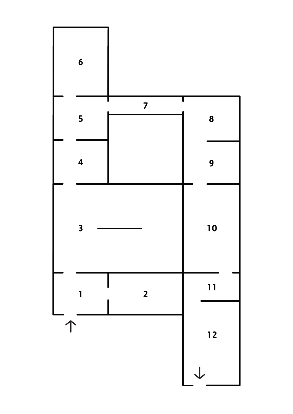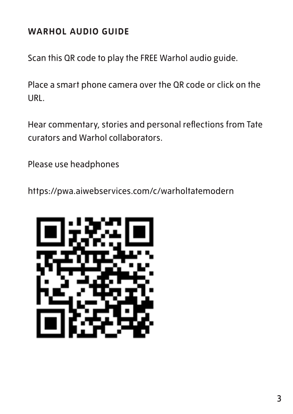#### **WARHOL AUDIO GUIDE**

Scan this QR code to play the FREE Warhol audio guide.

Place a smart phone camera over the QR code or click on the URL.

Hear commentary, stories and personal reflections from Tate curators and Warhol collaborators.

Please use headphones

https://pwa.aiwebservices.com/c/warholtatemodern

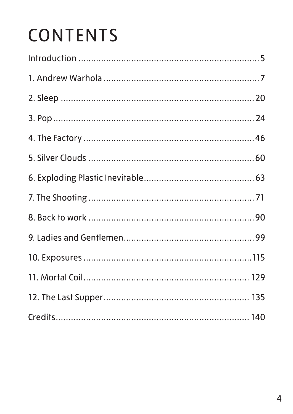# CONTENTS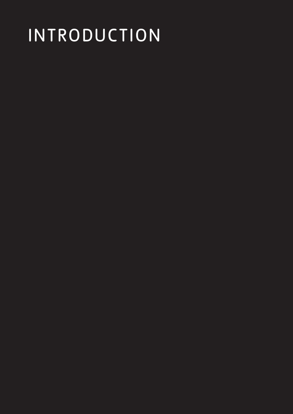# INTRODUCTION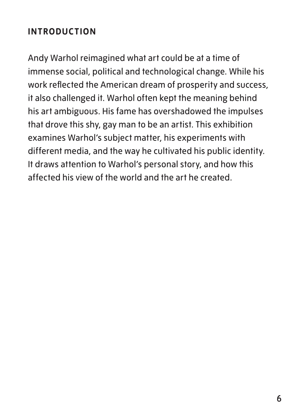#### **INTRODUCTION**

Andy Warhol reimagined what art could be at a time of immense social, political and technological change. While his work reflected the American dream of prosperity and success, it also challenged it. Warhol often kept the meaning behind his art ambiguous. His fame has overshadowed the impulses that drove this shy, gay man to be an artist. This exhibition examines Warhol's subject matter, his experiments with different media, and the way he cultivated his public identity. It draws attention to Warhol's personal story, and how this affected his view of the world and the art he created.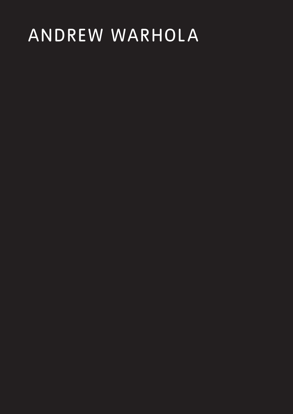# ANDREW WARHOLA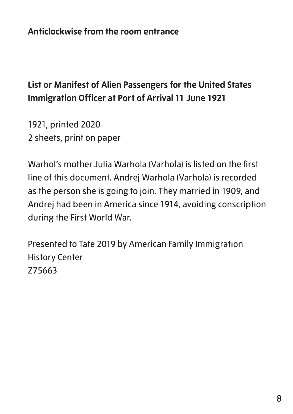#### **List or Manifest of Alien Passengers for the United States Immigration Officer at Port of Arrival 11 June 1921**

1921, printed 2020 2 sheets, print on paper

Warhol's mother Julia Warhola (Varhola) is listed on the first line of this document. Andrej Warhola (Varhola) is recorded as the person she is going to join. They married in 1909, and Andrej had been in America since 1914, avoiding conscription during the First World War.

Presented to Tate 2019 by American Family Immigration History Center Z75663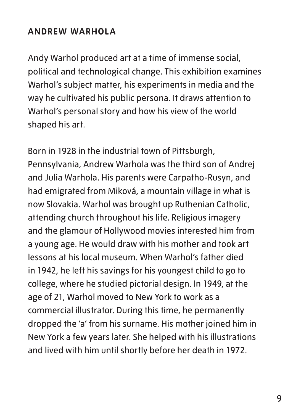#### **ANDREW WARHOLA**

Andy Warhol produced art at a time of immense social, political and technological change. This exhibition examines Warhol's subject matter, his experiments in media and the way he cultivated his public persona. It draws attention to Warhol's personal story and how his view of the world shaped his art.

Born in 1928 in the industrial town of Pittsburgh, Pennsylvania, Andrew Warhola was the third son of Andrej and Julia Warhola. His parents were Carpatho-Rusyn, and had emigrated from Miková, a mountain village in what is now Slovakia. Warhol was brought up Ruthenian Catholic, attending church throughout his life. Religious imagery and the glamour of Hollywood movies interested him from a young age. He would draw with his mother and took art lessons at his local museum. When Warhol's father died in 1942, he left his savings for his youngest child to go to college, where he studied pictorial design. In 1949, at the age of 21, Warhol moved to New York to work as a commercial illustrator. During this time, he permanently dropped the 'a' from his surname. His mother joined him in New York a few years later. She helped with his illustrations and lived with him until shortly before her death in 1972.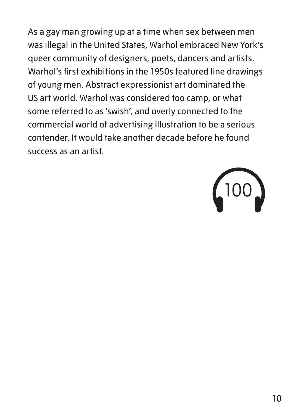As a gay man growing up at a time when sex between men was illegal in the United States, Warhol embraced New York's queer community of designers, poets, dancers and artists. Warhol's first exhibitions in the 1950s featured line drawings of young men. Abstract expressionist art dominated the US art world. Warhol was considered too camp, or what some referred to as 'swish', and overly connected to the commercial world of advertising illustration to be a serious contender. It would take another decade before he found success as an artist.

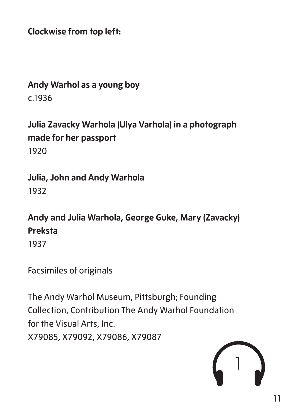**Clockwise from top left:**

#### **Andy Warhol as a young boy** c.1936

**Julia Zavacky Warhola (Ulya Varhola) in a photograph made for her passport** 1920

**Julia, John and Andy Warhola** 1932

**Andy and Julia Warhola, George Guke, Mary (Zavacky) Preksta**

Facsimiles of originals

The Andy Warhol Museum, Pittsburgh; Founding Collection, Contribution The Andy Warhol Foundation for the Visual Arts, Inc. X79085, X79092, X79086, X79087



<sup>1937</sup>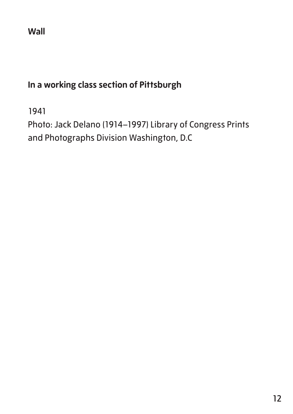#### **Wall**

#### **In a working class section of Pittsburgh**

1941

Photo: Jack Delano (1914–1997) Library of Congress Prints and Photographs Division Washington, D.C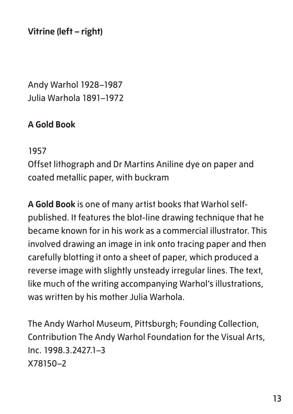**Vitrine (left – right)**

Andy Warhol 1928–1987 Julia Warhola 1891–1972

#### **A Gold Book**

1957

Offset lithograph and Dr Martins Aniline dye on paper and coated metallic paper, with buckram

**A Gold Book** is one of many artist books that Warhol selfpublished. It features the blot-line drawing technique that he became known for in his work as a commercial illustrator. This involved drawing an image in ink onto tracing paper and then carefully blotting it onto a sheet of paper, which produced a reverse image with slightly unsteady irregular lines. The text, like much of the writing accompanying Warhol's illustrations, was written by his mother Julia Warhola.

The Andy Warhol Museum, Pittsburgh; Founding Collection, Contribution The Andy Warhol Foundation for the Visual Arts, Inc. 1998.3.2427.1–3 X78150–2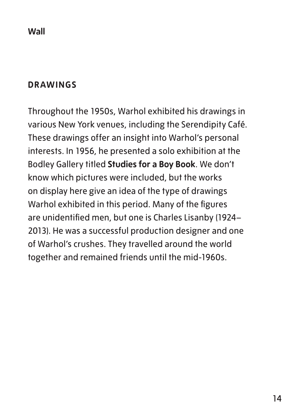#### **Wall**

#### **DRAWINGS**

Throughout the 1950s, Warhol exhibited his drawings in various New York venues, including the Serendipity Café. These drawings offer an insight into Warhol's personal interests. In 1956, he presented a solo exhibition at the Bodley Gallery titled **Studies for a Boy Book**. We don't know which pictures were included, but the works on display here give an idea of the type of drawings Warhol exhibited in this period. Many of the figures are unidentified men, but one is Charles Lisanby (1924– 2013). He was a successful production designer and one of Warhol's crushes. They travelled around the world together and remained friends until the mid-1960s.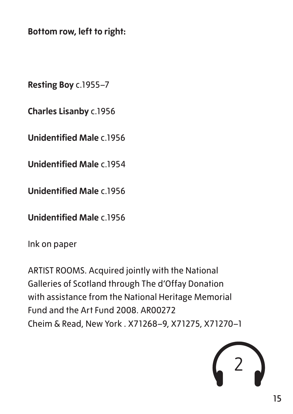**Bottom row, left to right:**

**Resting Boy** c.1955–7

**Charles Lisanby** c.1956

**Unidentified Male** c. 1956

**Unidentified Male** c.1954

**Unidentified Male** c.1956

**Unidentified Male** c.1956

Ink on paper

ARTIST ROOMS. Acquired jointly with the National Galleries of Scotland through The d'Offay Donation with assistance from the National Heritage Memorial Fund and the Art Fund 2008. AR00272 Cheim & Read, New York . X71268–9, X71275, X71270–1

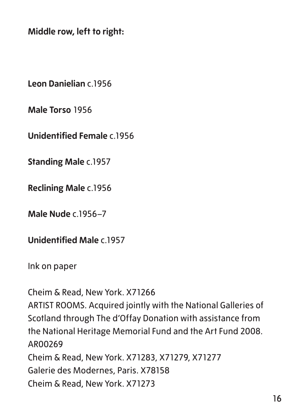**Middle row, left to right:**

**Leon Danielian** c.1956

**Male Torso** 1956

**Unidentified Female** c.1956

**Standing Male** c.1957

**Reclining Male** c.1956

**Male Nude** c.1956–7

**Unidentified Male** c.1957

Ink on paper

Cheim & Read, New York. X71266 ARTIST ROOMS. Acquired jointly with the National Galleries of Scotland through The d'Offay Donation with assistance from the National Heritage Memorial Fund and the Art Fund 2008. AR00269 Cheim & Read, New York. X71283, X71279, X71277 Galerie des Modernes, Paris. X78158 Cheim & Read, New York. X71273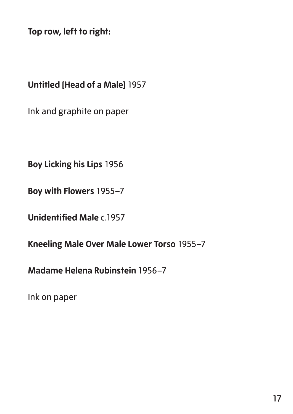**Top row, left to right:**

#### **Untitled [Head of a Male]** 1957

Ink and graphite on paper

**Boy Licking his Lips** 1956

**Boy with Flowers** 1955–7

**Unidentified Male** c.1957

**Kneeling Male Over Male Lower Torso** 1955–7

**Madame Helena Rubinstein** 1956–7

Ink on paper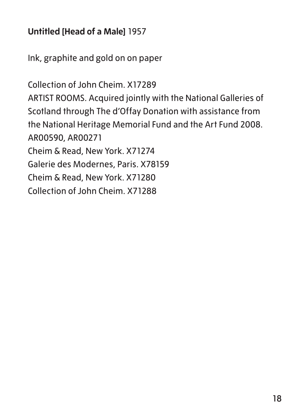#### **Untitled [Head of a Male]** 1957

Ink, graphite and gold on on paper

Collection of John Cheim. X17289 ARTIST ROOMS. Acquired jointly with the National Galleries of Scotland through The d'Offay Donation with assistance from the National Heritage Memorial Fund and the Art Fund 2008. AR00590, AR00271 Cheim & Read, New York. X71274 Galerie des Modernes, Paris. X78159 Cheim & Read, New York. X71280 Collection of John Cheim. X71288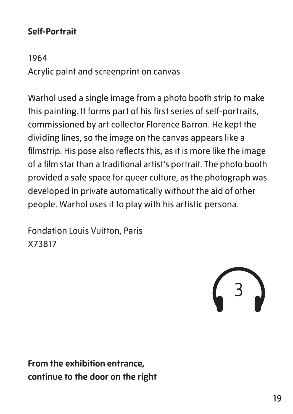#### **Self-Portrait**

1964 Acrylic paint and screenprint on canvas

Warhol used a single image from a photo booth strip to make this painting. It forms part of his first series of self-portraits, commissioned by art collector Florence Barron. He kept the dividing lines, so the image on the canvas appears like a filmstrip. His pose also reflects this, as it is more like the image of a film star than a traditional artist's portrait. The photo booth provided a safe space for queer culture, as the photograph was developed in private automatically without the aid of other people. Warhol uses it to play with his artistic persona.

Fondation Louis Vuitton, Paris X73817

3

**From the exhibition entrance, continue to the door on the right**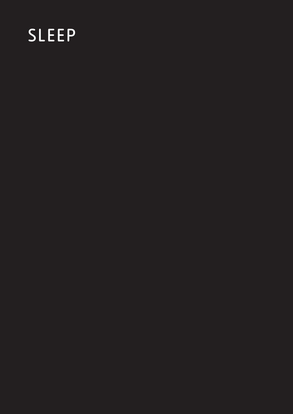# SLEEP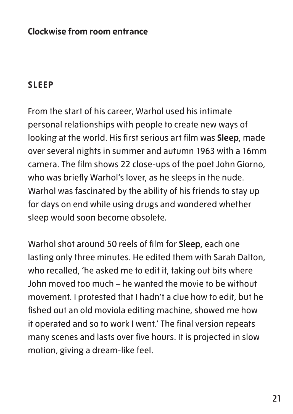#### **Clockwise from room entrance**

#### **SLEEP**

From the start of his career, Warhol used his intimate personal relationships with people to create new ways of looking at the world. His first serious art film was **Sleep**, made over several nights in summer and autumn 1963 with a 16mm camera. The film shows 22 close-ups of the poet John Giorno, who was briefly Warhol's lover, as he sleeps in the nude. Warhol was fascinated by the ability of his friends to stay up for days on end while using drugs and wondered whether sleep would soon become obsolete.

Warhol shot around 50 reels of film for **Sleep**, each one lasting only three minutes. He edited them with Sarah Dalton, who recalled, 'he asked me to edit it, taking out bits where John moved too much – he wanted the movie to be without movement. I protested that I hadn't a clue how to edit, but he fished out an old moviola editing machine, showed me how it operated and so to work I went.' The final version repeats many scenes and lasts over five hours. It is projected in slow motion, giving a dream-like feel.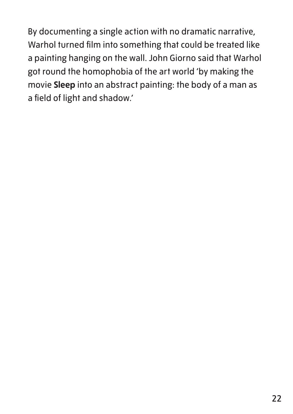By documenting a single action with no dramatic narrative, Warhol turned film into something that could be treated like a painting hanging on the wall. John Giorno said that Warhol got round the homophobia of the art world 'by making the movie **Sleep** into an abstract painting: the body of a man as a field of light and shadow.'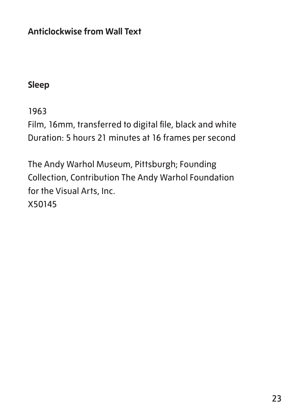**Anticlockwise from Wall Text**

#### **Sleep**

1963

Film, 16mm, transferred to digital file, black and white Duration: 5 hours 21 minutes at 16 frames per second

The Andy Warhol Museum, Pittsburgh; Founding Collection, Contribution The Andy Warhol Foundation for the Visual Arts, Inc. X50145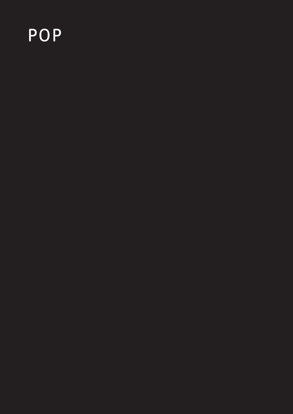### POP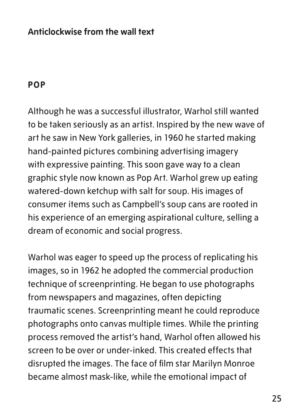#### **Anticlockwise from the wall text**

#### **POP**

Although he was a successful illustrator, Warhol still wanted to be taken seriously as an artist. Inspired by the new wave of art he saw in New York galleries, in 1960 he started making hand-painted pictures combining advertising imagery with expressive painting. This soon gave way to a clean graphic style now known as Pop Art. Warhol grew up eating watered-down ketchup with salt for soup. His images of consumer items such as Campbell's soup cans are rooted in his experience of an emerging aspirational culture, selling a dream of economic and social progress.

Warhol was eager to speed up the process of replicating his images, so in 1962 he adopted the commercial production technique of screenprinting. He began to use photographs from newspapers and magazines, often depicting traumatic scenes. Screenprinting meant he could reproduce photographs onto canvas multiple times. While the printing process removed the artist's hand, Warhol often allowed his screen to be over or under-inked. This created effects that disrupted the images. The face of film star Marilyn Monroe became almost mask-like, while the emotional impact of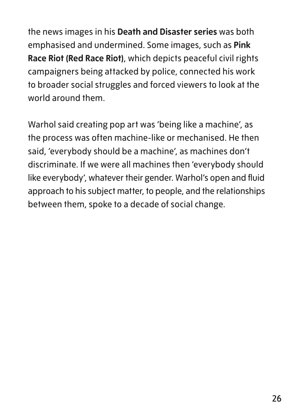the news images in his **Death and Disaster series** was both emphasised and undermined. Some images, such as **Pink Race Riot (Red Race Riot)**, which depicts peaceful civil rights campaigners being attacked by police, connected his work to broader social struggles and forced viewers to look at the world around them.

Warhol said creating pop art was 'being like a machine', as the process was often machine-like or mechanised. He then said, 'everybody should be a machine', as machines don't discriminate. If we were all machines then 'everybody should like everybody', whatever their gender. Warhol's open and fluid approach to his subject matter, to people, and the relationships between them, spoke to a decade of social change.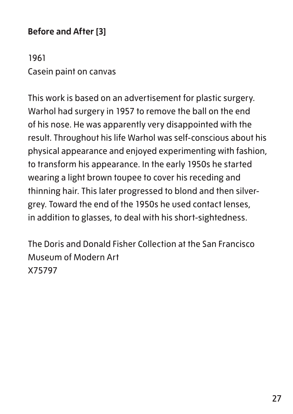#### **Before and After [3]**

1961 Casein paint on canvas

This work is based on an advertisement for plastic surgery. Warhol had surgery in 1957 to remove the ball on the end of his nose. He was apparently very disappointed with the result. Throughout his life Warhol was self-conscious about his physical appearance and enjoyed experimenting with fashion, to transform his appearance. In the early 1950s he started wearing a light brown toupee to cover his receding and thinning hair. This later progressed to blond and then silvergrey. Toward the end of the 1950s he used contact lenses, in addition to glasses, to deal with his short-sightedness.

The Doris and Donald Fisher Collection at the San Francisco Museum of Modern Art X75797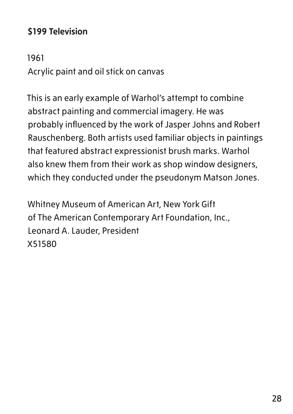#### **\$199 Television**

1961 Acrylic paint and oil stick on canvas

This is an early example of Warhol's attempt to combine abstract painting and commercial imagery. He was probably influenced by the work of Jasper Johns and Robert Rauschenberg. Both artists used familiar objects in paintings that featured abstract expressionist brush marks. Warhol also knew them from their work as shop window designers, which they conducted under the pseudonym Matson Jones.

Whitney Museum of American Art, New York Gift of The American Contemporary Art Foundation, Inc., Leonard A. Lauder, President X51580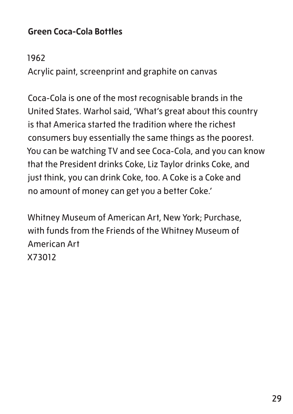#### **Green Coca-Cola Bottles**

#### 1962

Acrylic paint, screenprint and graphite on canvas

Coca-Cola is one of the most recognisable brands in the United States. Warhol said, 'What's great about this country is that America started the tradition where the richest consumers buy essentially the same things as the poorest. You can be watching TV and see Coca-Cola, and you can know that the President drinks Coke, Liz Taylor drinks Coke, and just think, you can drink Coke, too. A Coke is a Coke and no amount of money can get you a better Coke.'

Whitney Museum of American Art, New York; Purchase, with funds from the Friends of the Whitney Museum of American Art X73012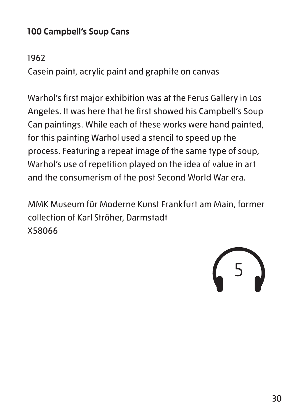#### **100 Campbell's Soup Cans**

#### 1962

Casein paint, acrylic paint and graphite on canvas

Warhol's first major exhibition was at the Ferus Gallery in Los Angeles. It was here that he first showed his Campbell's Soup Can paintings. While each of these works were hand painted, for this painting Warhol used a stencil to speed up the process. Featuring a repeat image of the same type of soup, Warhol's use of repetition played on the idea of value in art and the consumerism of the post Second World War era.

MMK Museum für Moderne Kunst Frankfurt am Main, former collection of Karl Ströher, Darmstadt X58066

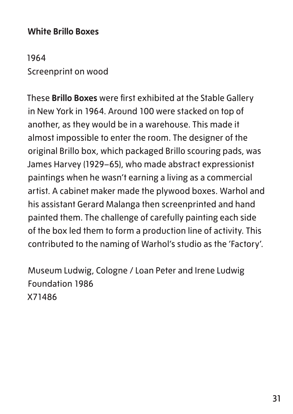#### **White Brillo Boxes**

1964 Screenprint on wood

These **Brillo Boxes** were first exhibited at the Stable Gallery in New York in 1964. Around 100 were stacked on top of another, as they would be in a warehouse. This made it almost impossible to enter the room. The designer of the original Brillo box, which packaged Brillo scouring pads, was James Harvey (1929–65), who made abstract expressionist paintings when he wasn't earning a living as a commercial artist. A cabinet maker made the plywood boxes. Warhol and his assistant Gerard Malanga then screenprinted and hand painted them. The challenge of carefully painting each side of the box led them to form a production line of activity. This contributed to the naming of Warhol's studio as the 'Factory'.

Museum Ludwig, Cologne / Loan Peter and Irene Ludwig Foundation 1986 X71486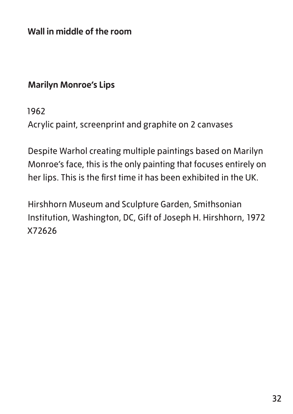**Wall in middle of the room**

#### **Marilyn Monroe's Lips**

1962

Acrylic paint, screenprint and graphite on 2 canvases

Despite Warhol creating multiple paintings based on Marilyn Monroe's face, this is the only painting that focuses entirely on her lips. This is the first time it has been exhibited in the UK.

Hirshhorn Museum and Sculpture Garden, Smithsonian Institution, Washington, DC, Gift of Joseph H. Hirshhorn, 1972 X72626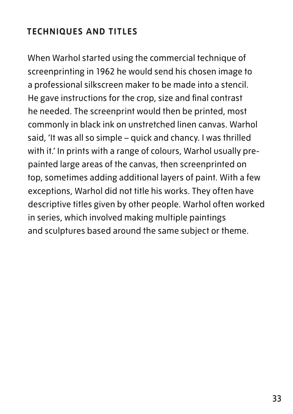#### **TECHNIQUES AND TITLES**

When Warhol started using the commercial technique of screenprinting in 1962 he would send his chosen image to a professional silkscreen maker to be made into a stencil. He gave instructions for the crop, size and final contrast he needed. The screenprint would then be printed, most commonly in black ink on unstretched linen canvas. Warhol said, 'It was all so simple – quick and chancy. I was thrilled with it.' In prints with a range of colours, Warhol usually prepainted large areas of the canvas, then screenprinted on top, sometimes adding additional layers of paint. With a few exceptions, Warhol did not title his works. They often have descriptive titles given by other people. Warhol often worked in series, which involved making multiple paintings and sculptures based around the same subject or theme.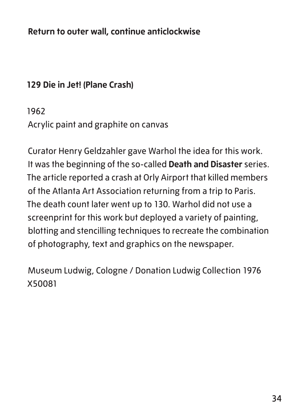**Return to outer wall, continue anticlockwise**

#### **129 Die in Jet! (Plane Crash)**

1962 Acrylic paint and graphite on canvas

Curator Henry Geldzahler gave Warhol the idea for this work. It was the beginning of the so-called **Death and Disaster** series. The article reported a crash at Orly Airport that killed members of the Atlanta Art Association returning from a trip to Paris. The death count later went up to 130. Warhol did not use a screenprint for this work but deployed a variety of painting, blotting and stencilling techniques to recreate the combination of photography, text and graphics on the newspaper.

Museum Ludwig, Cologne / Donation Ludwig Collection 1976 X50081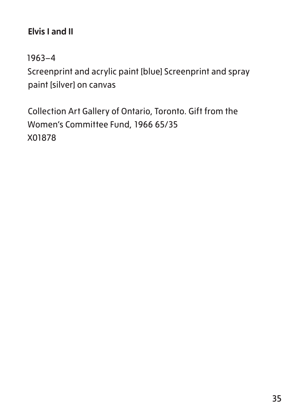#### **Elvis I and II**

1963–4

Screenprint and acrylic paint [blue] Screenprint and spray paint [silver] on canvas

Collection Art Gallery of Ontario, Toronto. Gift from the Women's Committee Fund, 1966 65/35 X01878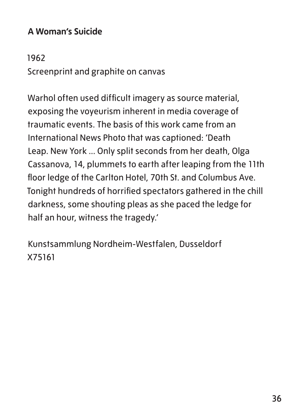#### **A Woman's Suicide**

#### 1962

Screenprint and graphite on canvas

Warhol often used difficult imagery as source material, exposing the voyeurism inherent in media coverage of traumatic events. The basis of this work came from an International News Photo that was captioned: 'Death Leap. New York ... Only split seconds from her death, Olga Cassanova, 14, plummets to earth after leaping from the 11th floor ledge of the Carlton Hotel, 70th St. and Columbus Ave. Tonight hundreds of horrified spectators gathered in the chill darkness, some shouting pleas as she paced the ledge for half an hour, witness the tragedy.'

Kunstsammlung Nordheim-Westfalen, Dusseldorf X75161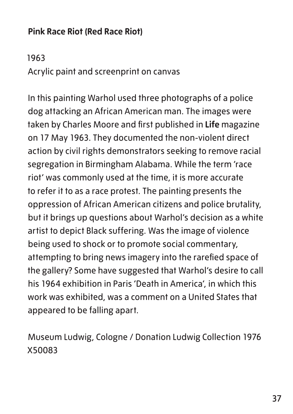### **Pink Race Riot (Red Race Riot)**

1963 Acrylic paint and screenprint on canvas

In this painting Warhol used three photographs of a police dog attacking an African American man. The images were taken by Charles Moore and first published in **Life** magazine on 17 May 1963. They documented the non-violent direct action by civil rights demonstrators seeking to remove racial segregation in Birmingham Alabama. While the term 'race riot' was commonly used at the time, it is more accurate to refer it to as a race protest. The painting presents the oppression of African American citizens and police brutality, but it brings up questions about Warhol's decision as a white artist to depict Black suffering. Was the image of violence being used to shock or to promote social commentary, attempting to bring news imagery into the rarefied space of the gallery? Some have suggested that Warhol's desire to call his 1964 exhibition in Paris 'Death in America', in which this work was exhibited, was a comment on a United States that appeared to be falling apart.

Museum Ludwig, Cologne / Donation Ludwig Collection 1976 X50083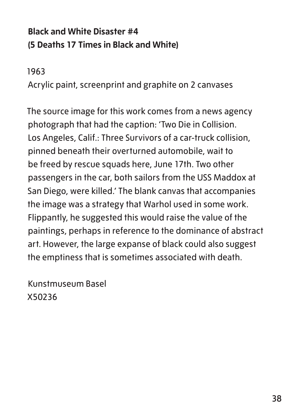## **Black and White Disaster #4 (5 Deaths 17 Times in Black and White)**

1963

Acrylic paint, screenprint and graphite on 2 canvases

The source image for this work comes from a news agency photograph that had the caption: 'Two Die in Collision. Los Angeles, Calif.: Three Survivors of a car-truck collision, pinned beneath their overturned automobile, wait to be freed by rescue squads here, June 17th. Two other passengers in the car, both sailors from the USS Maddox at San Diego, were killed.' The blank canvas that accompanies the image was a strategy that Warhol used in some work. Flippantly, he suggested this would raise the value of the paintings, perhaps in reference to the dominance of abstract art. However, the large expanse of black could also suggest the emptiness that is sometimes associated with death.

Kunstmuseum Basel X50236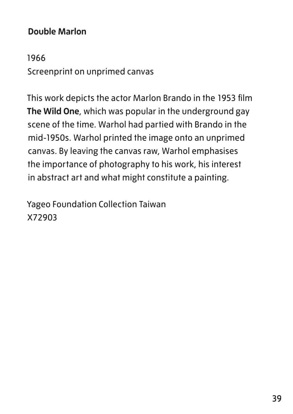#### **Double Marlon**

1966 Screenprint on unprimed canvas

This work depicts the actor Marlon Brando in the 1953 film **The Wild One**, which was popular in the underground gay scene of the time. Warhol had partied with Brando in the mid-1950s. Warhol printed the image onto an unprimed canvas. By leaving the canvas raw, Warhol emphasises the importance of photography to his work, his interest in abstract art and what might constitute a painting.

Yageo Foundation Collection Taiwan X72903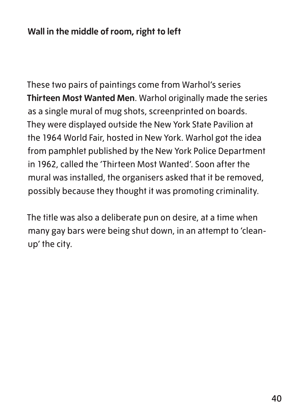These two pairs of paintings come from Warhol's series **Thirteen Most Wanted Men**. Warhol originally made the series as a single mural of mug shots, screenprinted on boards. They were displayed outside the New York State Pavilion at the 1964 World Fair, hosted in New York. Warhol got the idea from pamphlet published by the New York Police Department in 1962, called the 'Thirteen Most Wanted'. Soon after the mural was installed, the organisers asked that it be removed, possibly because they thought it was promoting criminality.

The title was also a deliberate pun on desire, at a time when many gay bars were being shut down, in an attempt to 'cleanup' the city.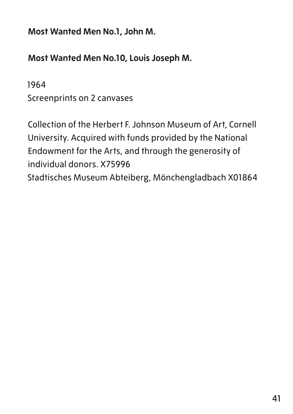**Most Wanted Men No.1, John M.**

**Most Wanted Men No.10, Louis Joseph M.**

1964 Screenprints on 2 canvases

Collection of the Herbert F. Johnson Museum of Art, Cornell University. Acquired with funds provided by the National Endowment for the Arts, and through the generosity of individual donors. X75996 Stadtisches Museum Abteiberg, Mönchengladbach X01864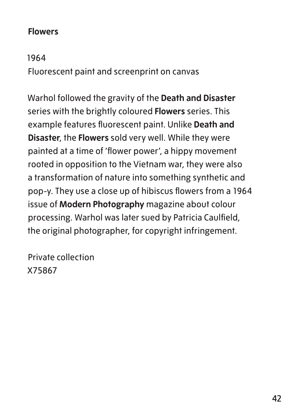#### **Flowers**

1964

Fluorescent paint and screenprint on canvas

Warhol followed the gravity of the **Death and Disaster** series with the brightly coloured **Flowers** series. This example features fluorescent paint. Unlike **Death and Disaster**, the **Flowers** sold very well. While they were painted at a time of 'flower power', a hippy movement rooted in opposition to the Vietnam war, they were also a transformation of nature into something synthetic and pop-y. They use a close up of hibiscus flowers from a 1964 issue of **Modern Photography** magazine about colour processing. Warhol was later sued by Patricia Caulfield, the original photographer, for copyright infringement.

Private collection X75867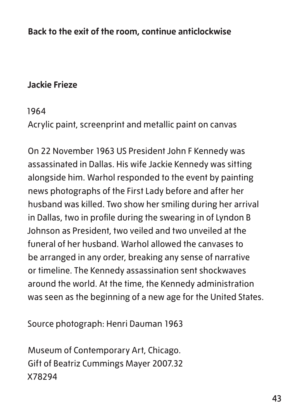**Back to the exit of the room, continue anticlockwise**

#### **Jackie Frieze**

#### 1964

Acrylic paint, screenprint and metallic paint on canvas

On 22 November 1963 US President John F Kennedy was assassinated in Dallas. His wife Jackie Kennedy was sitting alongside him. Warhol responded to the event by painting news photographs of the First Lady before and after her husband was killed. Two show her smiling during her arrival in Dallas, two in profile during the swearing in of Lyndon B Johnson as President, two veiled and two unveiled at the funeral of her husband. Warhol allowed the canvases to be arranged in any order, breaking any sense of narrative or timeline. The Kennedy assassination sent shockwaves around the world. At the time, the Kennedy administration was seen as the beginning of a new age for the United States.

Source photograph: Henri Dauman 1963

Museum of Contemporary Art, Chicago. Gift of Beatriz Cummings Mayer 2007.32 X78294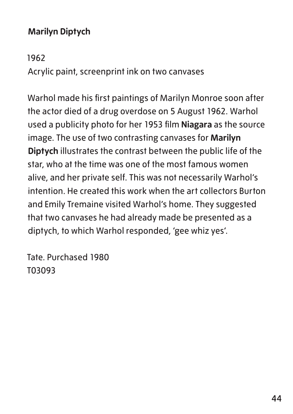## **Marilyn Diptych**

#### 1962

Acrylic paint, screenprint ink on two canvases

Warhol made his first paintings of Marilyn Monroe soon after the actor died of a drug overdose on 5 August 1962. Warhol used a publicity photo for her 1953 film **Niagara** as the source image. The use of two contrasting canvases for **Marilyn Diptych** illustrates the contrast between the public life of the star, who at the time was one of the most famous women alive, and her private self. This was not necessarily Warhol's intention. He created this work when the art collectors Burton and Emily Tremaine visited Warhol's home. They suggested that two canvases he had already made be presented as a diptych, to which Warhol responded, 'gee whiz yes'.

Tate. Purchased 1980 T03093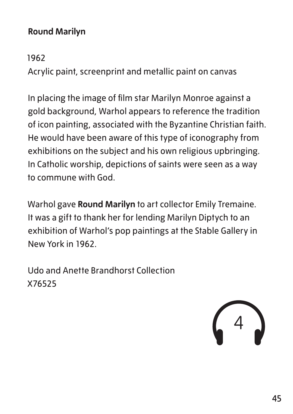#### **Round Marilyn**

1962

Acrylic paint, screenprint and metallic paint on canvas

In placing the image of film star Marilyn Monroe against a gold background, Warhol appears to reference the tradition of icon painting, associated with the Byzantine Christian faith. He would have been aware of this type of iconography from exhibitions on the subject and his own religious upbringing. In Catholic worship, depictions of saints were seen as a way to commune with God.

Warhol gave **Round Marilyn** to art collector Emily Tremaine. It was a gift to thank her for lending Marilyn Diptych to an exhibition of Warhol's pop paintings at the Stable Gallery in New York in 1962.

Udo and Anette Brandhorst Collection X76525

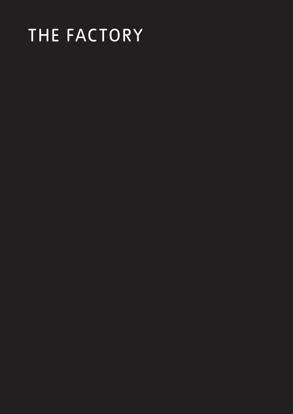## THE FACTORY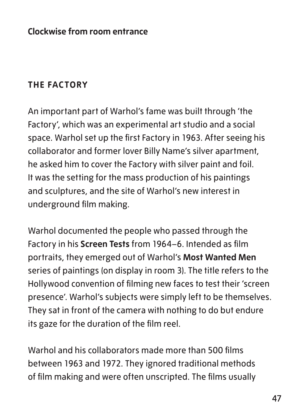#### **THE FACTORY**

An important part of Warhol's fame was built through 'the Factory', which was an experimental art studio and a social space. Warhol set up the first Factory in 1963. After seeing his collaborator and former lover Billy Name's silver apartment, he asked him to cover the Factory with silver paint and foil. It was the setting for the mass production of his paintings and sculptures, and the site of Warhol's new interest in underground film making.

Warhol documented the people who passed through the Factory in his **Screen Tests** from 1964–6. Intended as film portraits, they emerged out of Warhol's **Most Wanted Men** series of paintings (on display in room 3). The title refers to the Hollywood convention of filming new faces to test their 'screen presence'. Warhol's subjects were simply left to be themselves. They sat in front of the camera with nothing to do but endure its gaze for the duration of the film reel.

Warhol and his collaborators made more than 500 films between 1963 and 1972. They ignored traditional methods of film making and were often unscripted. The films usually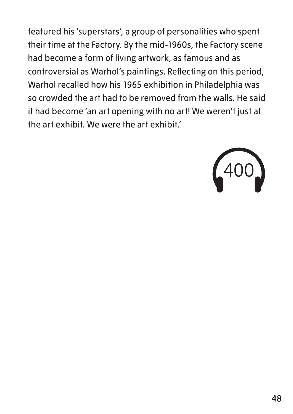featured his 'superstars', a group of personalities who spent their time at the Factory. By the mid-1960s, the Factory scene had become a form of living artwork, as famous and as controversial as Warhol's paintings. Reflecting on this period, Warhol recalled how his 1965 exhibition in Philadelphia was so crowded the art had to be removed from the walls. He said it had become 'an art opening with no art! We weren't just at the art exhibit. We were the art exhibit.'

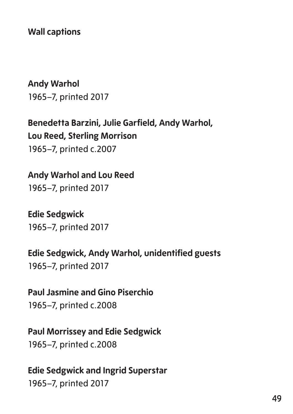**Wall captions**

**Andy Warhol** 1965–7, printed 2017

**Benedetta Barzini, Julie Garfield, Andy Warhol, Lou Reed, Sterling Morrison** 1965–7, printed c.2007

**Andy Warhol and Lou Reed** 1965–7, printed 2017

**Edie Sedgwick** 1965–7, printed 2017

**Edie Sedgwick, Andy Warhol, unidentified guests** 1965–7, printed 2017

**Paul Jasmine and Gino Piserchio** 1965–7, printed c.2008

**Paul Morrissey and Edie Sedgwick** 1965–7, printed c.2008

**Edie Sedgwick and Ingrid Superstar** 1965–7, printed 2017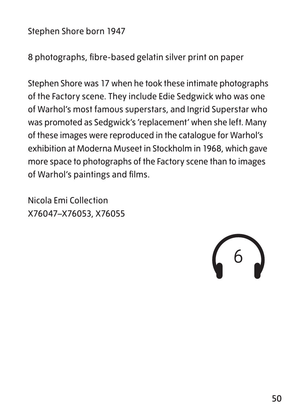Stephen Shore born 1947

8 photographs, fibre-based gelatin silver print on paper

Stephen Shore was 17 when he took these intimate photographs of the Factory scene. They include Edie Sedgwick who was one of Warhol's most famous superstars, and Ingrid Superstar who was promoted as Sedgwick's 'replacement' when she left. Many of these images were reproduced in the catalogue for Warhol's exhibition at Moderna Museet in Stockholm in 1968, which gave more space to photographs of the Factory scene than to images of Warhol's paintings and films.

Nicola Emi Collection X76047–X76053, X76055

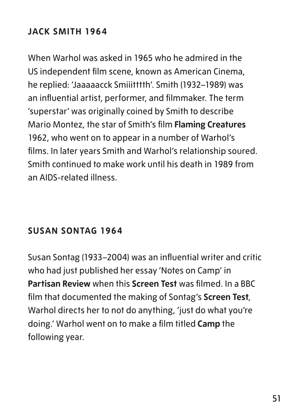### **JACK SMITH 1964**

When Warhol was asked in 1965 who he admired in the US independent film scene, known as American Cinema, he replied: 'Jaaaaacck Smiiitttth'. Smith (1932–1989) was an influential artist, performer, and filmmaker. The term 'superstar' was originally coined by Smith to describe Mario Montez, the star of Smith's film **Flaming Creatures** 1962, who went on to appear in a number of Warhol's films. In later years Smith and Warhol's relationship soured. Smith continued to make work until his death in 1989 from an AIDS-related illness.

#### **SUSAN SONTAG 1964**

Susan Sontag (1933–2004) was an influential writer and critic who had just published her essay 'Notes on Camp' in **Partisan Review** when this **Screen Test** was filmed. In a BBC film that documented the making of Sontag's **Screen Test**, Warhol directs her to not do anything, 'just do what you're doing.' Warhol went on to make a film titled **Camp** the following year.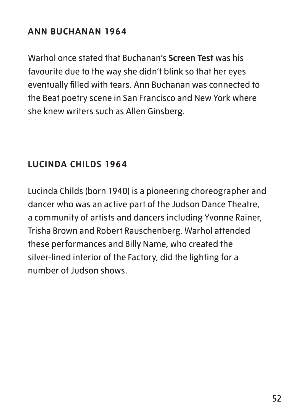#### **ANN BUCHANAN 1964**

Warhol once stated that Buchanan's **Screen Test** was his favourite due to the way she didn't blink so that her eyes eventually filled with tears. Ann Buchanan was connected to the Beat poetry scene in San Francisco and New York where she knew writers such as Allen Ginsberg.

#### **LUCINDA CHILDS 1964**

Lucinda Childs (born 1940) is a pioneering choreographer and dancer who was an active part of the Judson Dance Theatre, a community of artists and dancers including Yvonne Rainer, Trisha Brown and Robert Rauschenberg. Warhol attended these performances and Billy Name, who created the silver-lined interior of the Factory, did the lighting for a number of Judson shows.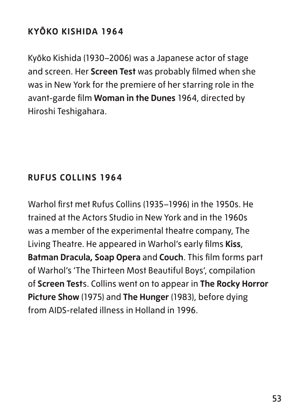## **KYŌKO KISHIDA 1964**

Kyōko Kishida (1930–2006) was a Japanese actor of stage and screen. Her **Screen Test** was probably filmed when she was in New York for the premiere of her starring role in the avant-garde film **Woman in the Dunes** 1964, directed by Hiroshi Teshigahara.

#### **RUFUS COLLINS 1964**

Warhol first met Rufus Collins (1935–1996) in the 1950s. He trained at the Actors Studio in New York and in the 1960s was a member of the experimental theatre company, The Living Theatre. He appeared in Warhol's early films **Kiss**, **Batman Dracula, Soap Opera** and **Couch**. This film forms part of Warhol's 'The Thirteen Most Beautiful Boys', compilation of **Screen Test**s. Collins went on to appear in **The Rocky Horror Picture Show** (1975) and **The Hunger** (1983), before dying from AIDS-related illness in Holland in 1996.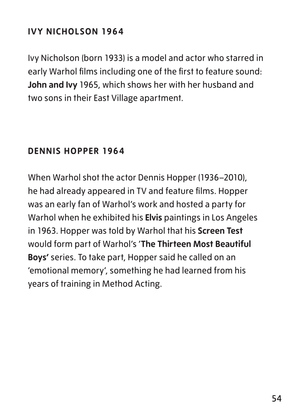## **IVY NICHOLSON 1964**

Ivy Nicholson (born 1933) is a model and actor who starred in early Warhol films including one of the first to feature sound: **John and Ivy** 1965, which shows her with her husband and two sons in their East Village apartment.

#### **DENNIS HOPPER 1964**

When Warhol shot the actor Dennis Hopper (1936–2010), he had already appeared in TV and feature films. Hopper was an early fan of Warhol's work and hosted a party for Warhol when he exhibited his **Elvis** paintings in Los Angeles in 1963. Hopper was told by Warhol that his **Screen Test** would form part of Warhol's '**The Thirteen Most Beautiful Boys'** series. To take part, Hopper said he called on an 'emotional memory', something he had learned from his years of training in Method Acting.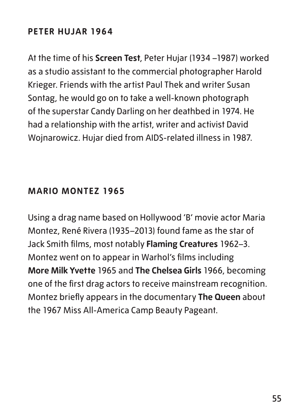#### **PETER HUJAR 1964**

At the time of his **Screen Test**, Peter Hujar (1934 –1987) worked as a studio assistant to the commercial photographer Harold Krieger. Friends with the artist Paul Thek and writer Susan Sontag, he would go on to take a well-known photograph of the superstar Candy Darling on her deathbed in 1974. He had a relationship with the artist, writer and activist David Wojnarowicz. Hujar died from AIDS-related illness in 1987.

#### **MARIO MONTEZ 1965**

Using a drag name based on Hollywood 'B' movie actor Maria Montez, René Rivera (1935–2013) found fame as the star of Jack Smith films, most notably **Flaming Creatures** 1962–3. Montez went on to appear in Warhol's films including **More Milk Yvette** 1965 and **The Chelsea Girls** 1966, becoming one of the first drag actors to receive mainstream recognition. Montez briefly appears in the documentary **The Queen** about the 1967 Miss All-America Camp Beauty Pageant.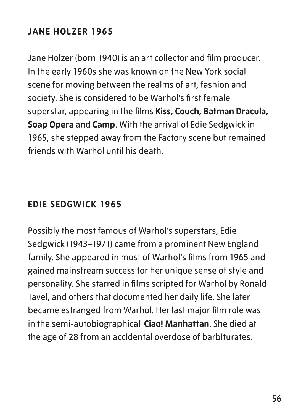## **JANE HOLZER 1965**

Jane Holzer (born 1940) is an art collector and film producer. In the early 1960s she was known on the New York social scene for moving between the realms of art, fashion and society. She is considered to be Warhol's first female superstar, appearing in the films **Kiss, Couch, Batman Dracula, Soap Opera** and **Camp**. With the arrival of Edie Sedgwick in 1965, she stepped away from the Factory scene but remained friends with Warhol until his death.

#### **EDIE SEDGWICK 1965**

Possibly the most famous of Warhol's superstars, Edie Sedgwick (1943–1971) came from a prominent New England family. She appeared in most of Warhol's films from 1965 and gained mainstream success for her unique sense of style and personality. She starred in films scripted for Warhol by Ronald Tavel, and others that documented her daily life. She later became estranged from Warhol. Her last major film role was in the semi-autobiographical **Ciao! Manhattan**. She died at the age of 28 from an accidental overdose of barbiturates.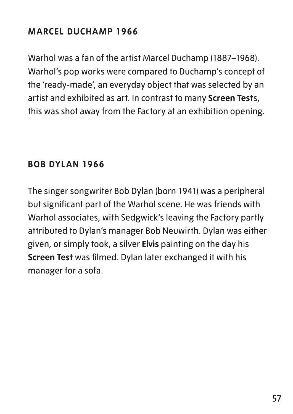### **MARCEL DUCHAMP 1966**

Warhol was a fan of the artist Marcel Duchamp (1887–1968). Warhol's pop works were compared to Duchamp's concept of the 'ready-made', an everyday object that was selected by an artist and exhibited as art. In contrast to many **Screen Test**s, this was shot away from the Factory at an exhibition opening.

#### **BOB DYLAN 1966**

The singer songwriter Bob Dylan (born 1941) was a peripheral but significant part of the Warhol scene. He was friends with Warhol associates, with Sedgwick's leaving the Factory partly attributed to Dylan's manager Bob Neuwirth. Dylan was either given, or simply took, a silver **Elvis** painting on the day his **Screen Test** was filmed. Dylan later exchanged it with his manager for a sofa.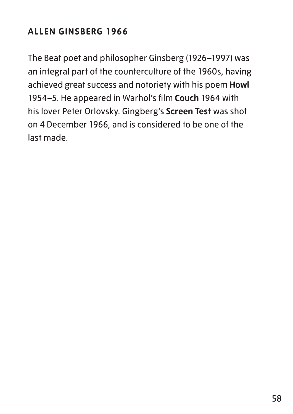## **ALLEN GINSBERG 1966**

The Beat poet and philosopher Ginsberg (1926–1997) was an integral part of the counterculture of the 1960s, having achieved great success and notoriety with his poem **Howl** 1954–5. He appeared in Warhol's film **Couch** 1964 with his lover Peter Orlovsky. Gingberg's **Screen Test** was shot on 4 December 1966, and is considered to be one of the last made.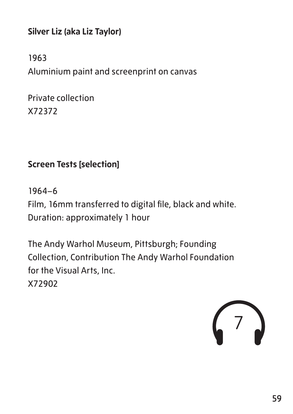**Silver Liz (aka Liz Taylor)**

1963 Aluminium paint and screenprint on canvas

Private collection X72372

#### **Screen Tests [selection]**

1964–6 Film, 16mm transferred to digital file, black and white. Duration: approximately 1 hour

The Andy Warhol Museum, Pittsburgh; Founding Collection, Contribution The Andy Warhol Foundation for the Visual Arts, Inc. X72902

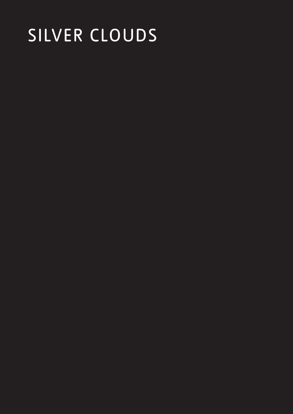## SILVER CLOUDS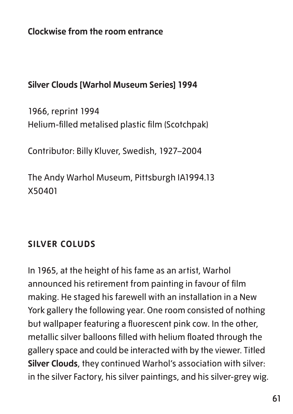**Clockwise from the room entrance**

#### **Silver Clouds [Warhol Museum Series] 1994**

1966, reprint 1994 Helium-filled metalised plastic film (Scotchpak)

Contributor: Billy Kluver, Swedish, 1927–2004

The Andy Warhol Museum, Pittsburgh IA1994.13 X50401

#### **SILVER COLUDS**

In 1965, at the height of his fame as an artist, Warhol announced his retirement from painting in favour of film making. He staged his farewell with an installation in a New York gallery the following year. One room consisted of nothing but wallpaper featuring a fluorescent pink cow. In the other, metallic silver balloons filled with helium floated through the gallery space and could be interacted with by the viewer. Titled **Silver Clouds**, they continued Warhol's association with silver: in the silver Factory, his silver paintings, and his silver-grey wig.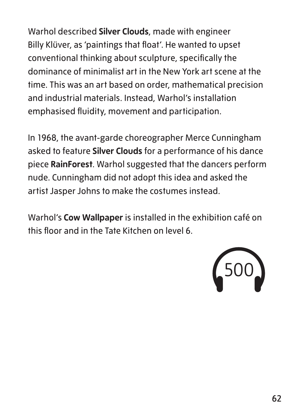Warhol described **Silver Clouds**, made with engineer Billy Klüver, as 'paintings that float'. He wanted to upset conventional thinking about sculpture, specifically the dominance of minimalist art in the New York art scene at the time. This was an art based on order, mathematical precision and industrial materials. Instead, Warhol's installation emphasised fluidity, movement and participation.

In 1968, the avant-garde choreographer Merce Cunningham asked to feature **Silver Clouds** for a performance of his dance piece **RainForest**. Warhol suggested that the dancers perform nude. Cunningham did not adopt this idea and asked the artist Jasper Johns to make the costumes instead.

Warhol's **Cow Wallpaper** is installed in the exhibition café on this floor and in the Tate Kitchen on level 6.

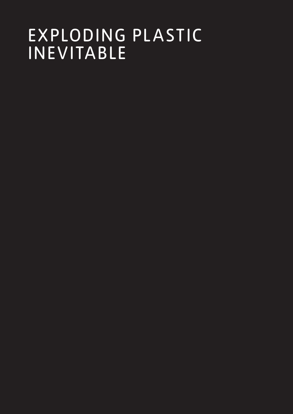## EXPLODING PLASTIC INEVITABLE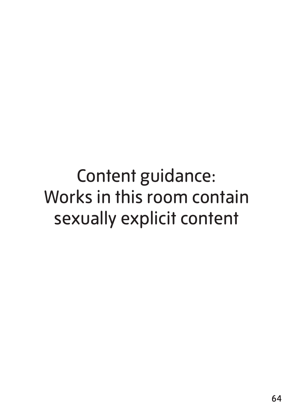Content guidance: Works in this room contain sexually explicit content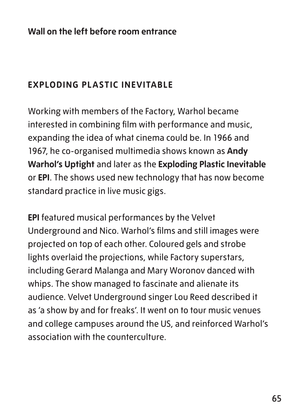## **EXPLODING PLASTIC INEVITABLE**

Working with members of the Factory, Warhol became interested in combining film with performance and music, expanding the idea of what cinema could be. In 1966 and 1967, he co-organised multimedia shows known as **Andy Warhol's Uptight** and later as the **Exploding Plastic Inevitable** or **EPI**. The shows used new technology that has now become standard practice in live music gigs.

**EPI** featured musical performances by the Velvet Underground and Nico. Warhol's films and still images were projected on top of each other. Coloured gels and strobe lights overlaid the projections, while Factory superstars, including Gerard Malanga and Mary Woronov danced with whips. The show managed to fascinate and alienate its audience. Velvet Underground singer Lou Reed described it as 'a show by and for freaks'. It went on to tour music venues and college campuses around the US, and reinforced Warhol's association with the counterculture.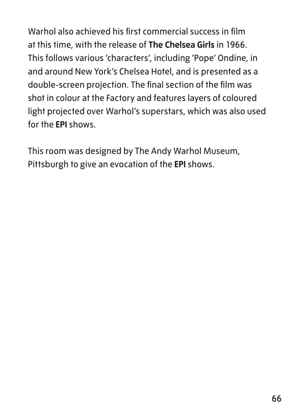Warhol also achieved his first commercial success in film at this time, with the release of **The Chelsea Girls** in 1966. This follows various 'characters', including 'Pope' Ondine, in and around New York's Chelsea Hotel, and is presented as a double-screen projection. The final section of the film was shot in colour at the Factory and features layers of coloured light projected over Warhol's superstars, which was also used for the **EPI** shows.

This room was designed by The Andy Warhol Museum, Pittsburgh to give an evocation of the **EPI** shows.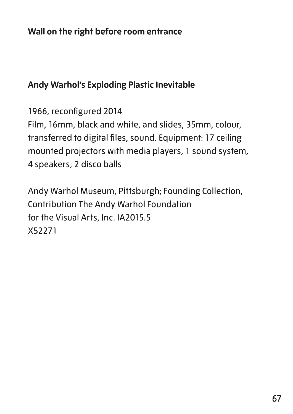#### **Andy Warhol's Exploding Plastic Inevitable**

1966, reconfigured 2014

Film, 16mm, black and white, and slides, 35mm, colour, transferred to digital files, sound. Equipment: 17 ceiling mounted projectors with media players, 1 sound system, 4 speakers, 2 disco balls

Andy Warhol Museum, Pittsburgh; Founding Collection, Contribution The Andy Warhol Foundation for the Visual Arts, Inc. IA2015.5 X52271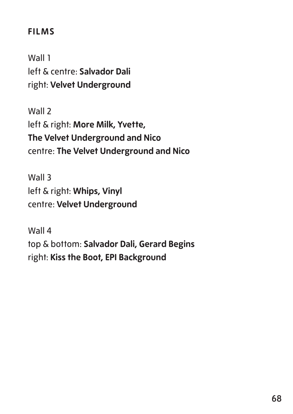#### **FILMS**

Wall 1 left & centre: **Salvador Dali** right: **Velvet Underground**

Wall 2 left & right: **More Milk, Yvette, The Velvet Underground and Nico** centre: **The Velvet Underground and Nico**

Wall 3 left & right: **Whips, Vinyl** centre: **Velvet Underground**

Wall 4 top & bottom: **Salvador Dali, Gerard Begins** right: **Kiss the Boot, EPI Background**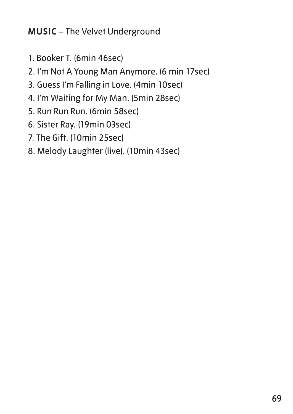**MUSIC** – The Velvet Underground

- 1. Booker T. (6min 46sec)
- 2. I'm Not A Young Man Anymore. (6 min 17sec)
- 3. Guess I'm Falling in Love. (4min 10sec)
- 4. I'm Waiting for My Man. (5min 28sec)
- 5. Run Run Run. (6min 58sec)
- 6. Sister Ray. (19min 03sec)
- 7. The Gift. (10min 25sec)
- 8. Melody Laughter (live). (10min 43sec)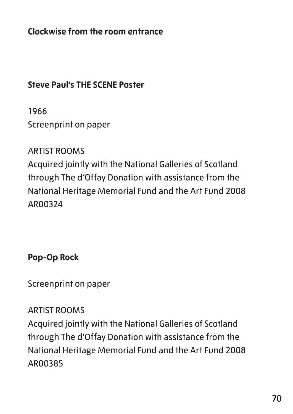**Clockwise from the room entrance**

#### **Steve Paul's THE SCENE Poster**

1966

Screenprint on paper

#### ARTIST ROOMS

Acquired jointly with the National Galleries of Scotland through The d'Offay Donation with assistance from the National Heritage Memorial Fund and the Art Fund 2008 AR00324

**Pop-Op Rock**

Screenprint on paper

#### ARTIST ROOMS

Acquired jointly with the National Galleries of Scotland through The d'Offay Donation with assistance from the National Heritage Memorial Fund and the Art Fund 2008 AR00385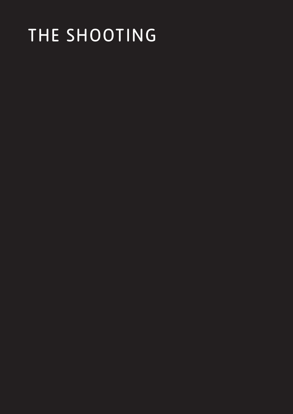# THE SHOOTING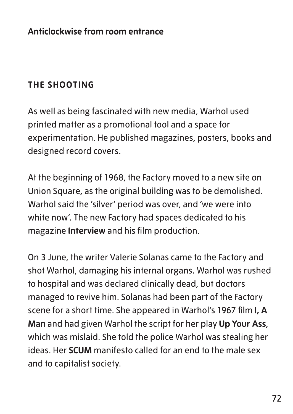## **THE SHOOTING**

As well as being fascinated with new media, Warhol used printed matter as a promotional tool and a space for experimentation. He published magazines, posters, books and designed record covers.

At the beginning of 1968, the Factory moved to a new site on Union Square, as the original building was to be demolished. Warhol said the 'silver' period was over, and 'we were into white now'. The new Factory had spaces dedicated to his magazine **Interview** and his film production.

On 3 June, the writer Valerie Solanas came to the Factory and shot Warhol, damaging his internal organs. Warhol was rushed to hospital and was declared clinically dead, but doctors managed to revive him. Solanas had been part of the Factory scene for a short time. She appeared in Warhol's 1967 film **I, A Man** and had given Warhol the script for her play **Up Your Ass**, which was mislaid. She told the police Warhol was stealing her ideas. Her **SCUM** manifesto called for an end to the male sex and to capitalist society.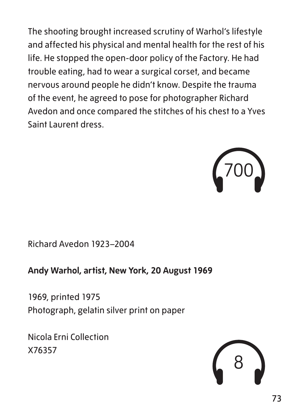The shooting brought increased scrutiny of Warhol's lifestyle and affected his physical and mental health for the rest of his life. He stopped the open-door policy of the Factory. He had trouble eating, had to wear a surgical corset, and became nervous around people he didn't know. Despite the trauma of the event, he agreed to pose for photographer Richard Avedon and once compared the stitches of his chest to a Yves Saint Laurent dress.



Richard Avedon 1923–2004

**Andy Warhol, artist, New York, 20 August 1969**

1969, printed 1975 Photograph, gelatin silver print on paper

Nicola Erni Collection X76357

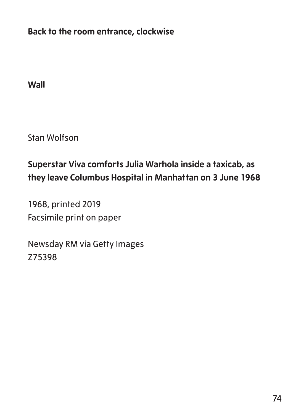**Back to the room entrance, clockwise**

**Wall**

Stan Wolfson

# **Superstar Viva comforts Julia Warhola inside a taxicab, as they leave Columbus Hospital in Manhattan on 3 June 1968**

1968, printed 2019 Facsimile print on paper

Newsday RM via Getty Images Z75398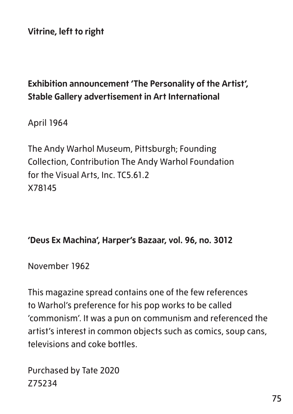**Vitrine, left to right**

# **Exhibition announcement 'The Personality of the Artist', Stable Gallery advertisement in Art International**

April 1964

The Andy Warhol Museum, Pittsburgh; Founding Collection, Contribution The Andy Warhol Foundation for the Visual Arts, Inc. TC5.61.2 X78145

#### **'Deus Ex Machina', Harper's Bazaar, vol. 96, no. 3012**

November 1962

This magazine spread contains one of the few references to Warhol's preference for his pop works to be called 'commonism'. It was a pun on communism and referenced the artist's interest in common objects such as comics, soup cans, televisions and coke bottles.

Purchased by Tate 2020 Z75234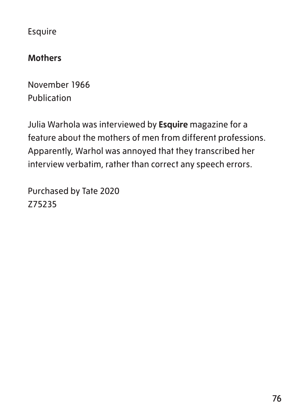Esquire

### **Mothers**

November 1966 Publication

Julia Warhola was interviewed by **Esquire** magazine for a feature about the mothers of men from different professions. Apparently, Warhol was annoyed that they transcribed her interview verbatim, rather than correct any speech errors.

Purchased by Tate 2020 Z75235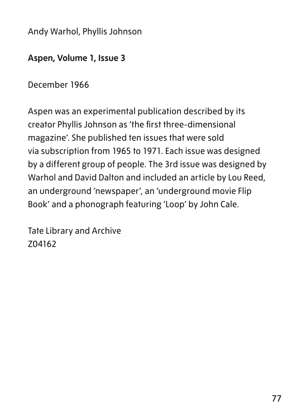Andy Warhol, Phyllis Johnson

### **Aspen, Volume 1, Issue 3**

December 1966

Aspen was an experimental publication described by its creator Phyllis Johnson as 'the first three-dimensional magazine'. She published ten issues that were sold via subscription from 1965 to 1971. Each issue was designed by a different group of people. The 3rd issue was designed by Warhol and David Dalton and included an article by Lou Reed, an underground 'newspaper', an 'underground movie Flip Book' and a phonograph featuring 'Loop' by John Cale.

Tate Library and Archive Z04162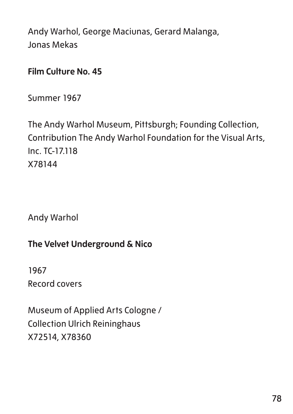Andy Warhol, George Maciunas, Gerard Malanga, Jonas Mekas

### **Film Culture No. 45**

Summer 1967

The Andy Warhol Museum, Pittsburgh; Founding Collection, Contribution The Andy Warhol Foundation for the Visual Arts, Inc. TC-17.118 X78144

Andy Warhol

# **The Velvet Underground & Nico**

1967 Record covers

Museum of Applied Arts Cologne / Collection Ulrich Reininghaus X72514, X78360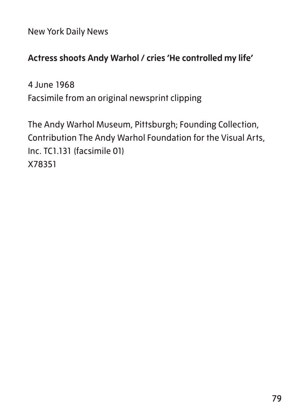New York Daily News

## **Actress shoots Andy Warhol / cries 'He controlled my life'**

4 June 1968 Facsimile from an original newsprint clipping

The Andy Warhol Museum, Pittsburgh; Founding Collection, Contribution The Andy Warhol Foundation for the Visual Arts, Inc. TC1.131 (facsimile 01) X78351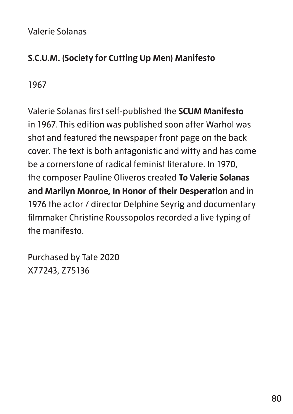### Valerie Solanas

# **S.C.U.M. (Society for Cutting Up Men) Manifesto**

1967

Valerie Solanas first self-published the **SCUM Manifesto** in 1967. This edition was published soon after Warhol was shot and featured the newspaper front page on the back cover. The text is both antagonistic and witty and has come be a cornerstone of radical feminist literature. In 1970, the composer Pauline Oliveros created **To Valerie Solanas and Marilyn Monroe, In Honor of their Desperation** and in 1976 the actor / director Delphine Seyrig and documentary filmmaker Christine Roussopolos recorded a live typing of the manifesto.

Purchased by Tate 2020 X77243, Z75136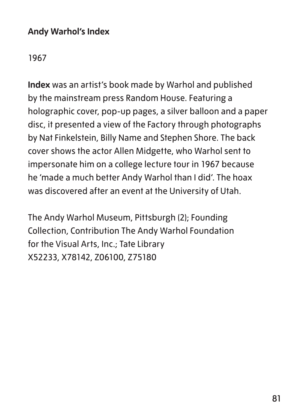### **Andy Warhol's Index**

1967

**Index** was an artist's book made by Warhol and published by the mainstream press Random House. Featuring a holographic cover, pop-up pages, a silver balloon and a paper disc, it presented a view of the Factory through photographs by Nat Finkelstein, Billy Name and Stephen Shore. The back cover shows the actor Allen Midgette, who Warhol sent to impersonate him on a college lecture tour in 1967 because he 'made a much better Andy Warhol than I did'. The hoax was discovered after an event at the University of Utah.

The Andy Warhol Museum, Pittsburgh (2); Founding Collection, Contribution The Andy Warhol Foundation for the Visual Arts, Inc.; Tate Library X52233, X78142, Z06100, Z75180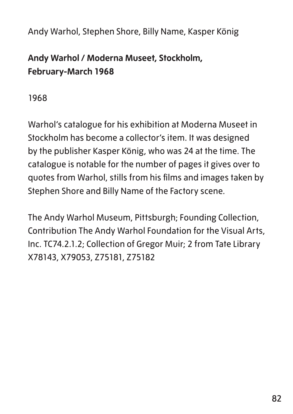Andy Warhol, Stephen Shore, Billy Name, Kasper König

# **Andy Warhol / Moderna Museet, Stockholm, February-March 1968**

1968

Warhol's catalogue for his exhibition at Moderna Museet in Stockholm has become a collector's item. It was designed by the publisher Kasper König, who was 24 at the time. The catalogue is notable for the number of pages it gives over to quotes from Warhol, stills from his films and images taken by Stephen Shore and Billy Name of the Factory scene.

The Andy Warhol Museum, Pittsburgh; Founding Collection, Contribution The Andy Warhol Foundation for the Visual Arts, Inc. TC74.2.1.2; Collection of Gregor Muir; 2 from Tate Library X78143, X79053, Z75181, Z75182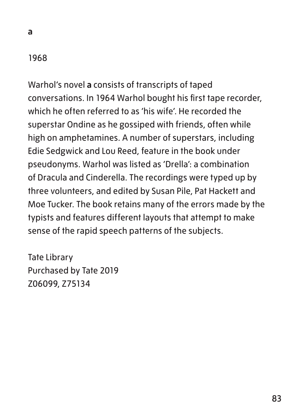### 1968

**a**

Warhol's novel **a** consists of transcripts of taped conversations. In 1964 Warhol bought his first tape recorder, which he often referred to as 'his wife'. He recorded the superstar Ondine as he gossiped with friends, often while high on amphetamines. A number of superstars, including Edie Sedgwick and Lou Reed, feature in the book under pseudonyms. Warhol was listed as 'Drella': a combination of Dracula and Cinderella. The recordings were typed up by three volunteers, and edited by Susan Pile, Pat Hackett and Moe Tucker. The book retains many of the errors made by the typists and features different layouts that attempt to make sense of the rapid speech patterns of the subjects.

Tate Library Purchased by Tate 2019 Z06099, Z75134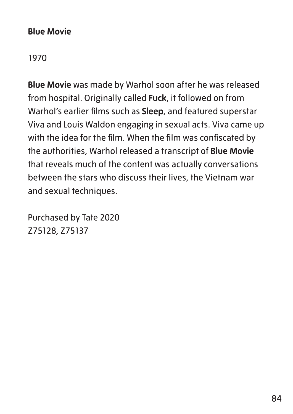### **Blue Movie**

1970

**Blue Movie** was made by Warhol soon after he was released from hospital. Originally called **Fuck**, it followed on from Warhol's earlier films such as **Sleep**, and featured superstar Viva and Louis Waldon engaging in sexual acts. Viva came up with the idea for the film. When the film was confiscated by the authorities, Warhol released a transcript of **Blue Movie** that reveals much of the content was actually conversations between the stars who discuss their lives, the Vietnam war and sexual techniques.

Purchased by Tate 2020 Z75128, Z75137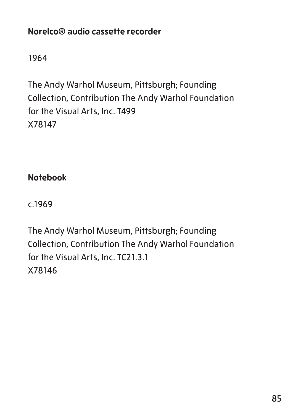# **Norelco® audio cassette recorder**

1964

The Andy Warhol Museum, Pittsburgh; Founding Collection, Contribution The Andy Warhol Foundation for the Visual Arts, Inc. T499 X78147

**Notebook**

c.1969

The Andy Warhol Museum, Pittsburgh; Founding Collection, Contribution The Andy Warhol Foundation for the Visual Arts, Inc. TC21.3.1 X78146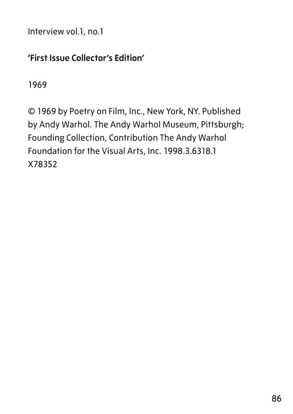Interview vol.1, no.1

### **'First Issue Collector's Edition'**

1969

© 1969 by Poetry on Film, Inc., New York, NY. Published by Andy Warhol. The Andy Warhol Museum, Pittsburgh; Founding Collection, Contribution The Andy Warhol Foundation for the Visual Arts, Inc. 1998.3.6318.1 X78352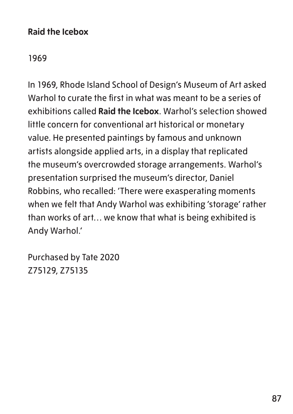### **Raid the Icebox**

1969

In 1969, Rhode Island School of Design's Museum of Art asked Warhol to curate the first in what was meant to be a series of exhibitions called **Raid the Icebox**. Warhol's selection showed little concern for conventional art historical or monetary value. He presented paintings by famous and unknown artists alongside applied arts, in a display that replicated the museum's overcrowded storage arrangements. Warhol's presentation surprised the museum's director, Daniel Robbins, who recalled: 'There were exasperating moments when we felt that Andy Warhol was exhibiting 'storage' rather than works of art… we know that what is being exhibited is Andy Warhol.'

Purchased by Tate 2020 Z75129, Z75135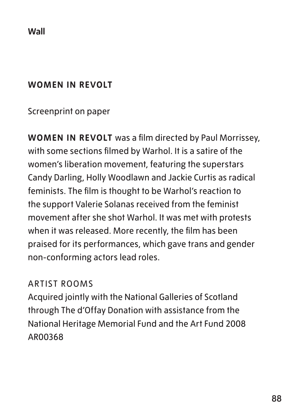**Wall**

### **WOMEN IN REVOLT**

## Screenprint on paper

**WOMEN IN REVOLT** was a film directed by Paul Morrissey, with some sections filmed by Warhol. It is a satire of the women's liberation movement, featuring the superstars Candy Darling, Holly Woodlawn and Jackie Curtis as radical feminists. The film is thought to be Warhol's reaction to the support Valerie Solanas received from the feminist movement after she shot Warhol. It was met with protests when it was released. More recently, the film has been praised for its performances, which gave trans and gender non-conforming actors lead roles.

### ARTIST ROOMS

Acquired jointly with the National Galleries of Scotland through The d'Offay Donation with assistance from the National Heritage Memorial Fund and the Art Fund 2008 AR00368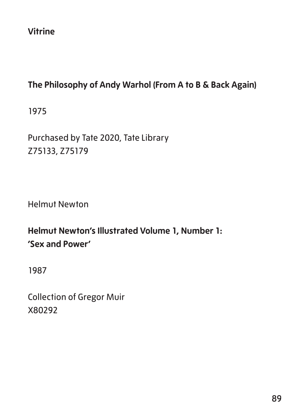**Vitrine**

# **The Philosophy of Andy Warhol (From A to B & Back Again)**

1975

Purchased by Tate 2020, Tate Library Z75133, Z75179

Helmut Newton

# **Helmut Newton's Illustrated Volume 1, Number 1: 'Sex and Power'**

1987

Collection of Gregor Muir X80292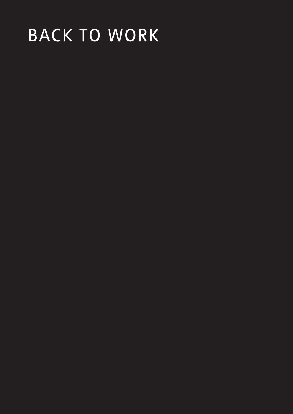# BACK TO WORK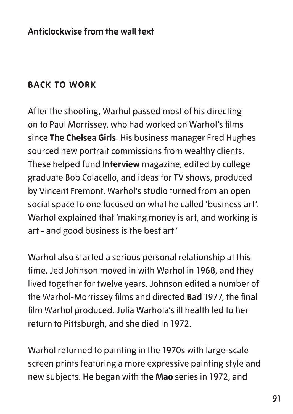### **Anticlockwise from the wall text**

## **BACK TO WORK**

After the shooting, Warhol passed most of his directing on to Paul Morrissey, who had worked on Warhol's films since **The Chelsea Girls**. His business manager Fred Hughes sourced new portrait commissions from wealthy clients. These helped fund **Interview** magazine, edited by college graduate Bob Colacello, and ideas for TV shows, produced by Vincent Fremont. Warhol's studio turned from an open social space to one focused on what he called 'business art'. Warhol explained that 'making money is art, and working is art - and good business is the best art.'

Warhol also started a serious personal relationship at this time. Jed Johnson moved in with Warhol in 1968, and they lived together for twelve years. Johnson edited a number of the Warhol-Morrissey films and directed **Bad** 1977, the final film Warhol produced. Julia Warhola's ill health led to her return to Pittsburgh, and she died in 1972.

Warhol returned to painting in the 1970s with large-scale screen prints featuring a more expressive painting style and new subjects. He began with the **Mao** series in 1972, and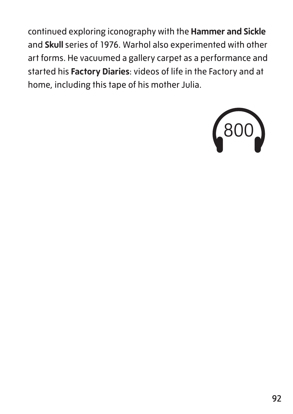continued exploring iconography with the **Hammer and Sickle** and **Skull** series of 1976. Warhol also experimented with other art forms. He vacuumed a gallery carpet as a performance and started his **Factory Diaries**: videos of life in the Factory and at home, including this tape of his mother Julia.

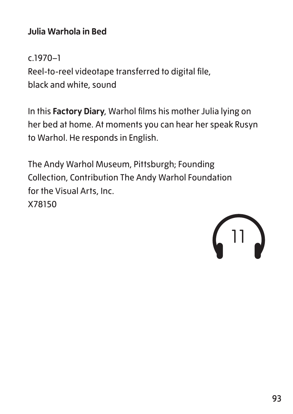# **Julia Warhola in Bed**

c.1970–1 Reel-to-reel videotape transferred to digital file, black and white, sound

In this **Factory Diary**, Warhol films his mother Julia lying on her bed at home. At moments you can hear her speak Rusyn to Warhol. He responds in English.

The Andy Warhol Museum, Pittsburgh; Founding Collection, Contribution The Andy Warhol Foundation for the Visual Arts, Inc. X78150

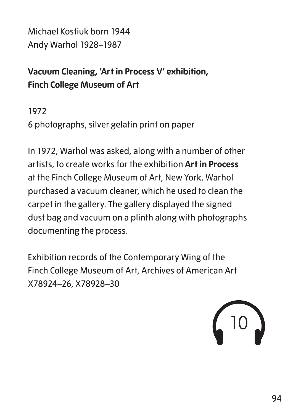Michael Kostiuk born 1944 Andy Warhol 1928–1987

# **Vacuum Cleaning, 'Art in Process V' exhibition, Finch College Museum of Art**

1972

6 photographs, silver gelatin print on paper

In 1972, Warhol was asked, along with a number of other artists, to create works for the exhibition **Art in Process** at the Finch College Museum of Art, New York. Warhol purchased a vacuum cleaner, which he used to clean the carpet in the gallery. The gallery displayed the signed dust bag and vacuum on a plinth along with photographs documenting the process.

Exhibition records of the Contemporary Wing of the Finch College Museum of Art, Archives of American Art X78924–26, X78928–30

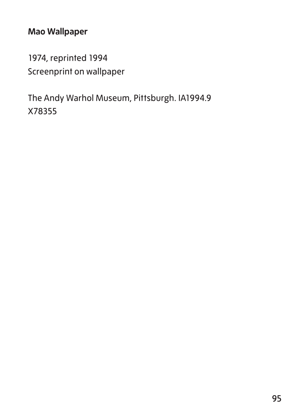# **Mao Wallpaper**

1974, reprinted 1994 Screenprint on wallpaper

The Andy Warhol Museum, Pittsburgh. IA1994.9 X78355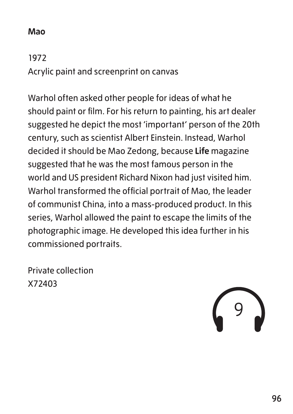### **Mao**

1972 Acrylic paint and screenprint on canvas

Warhol often asked other people for ideas of what he should paint or film. For his return to painting, his art dealer suggested he depict the most 'important' person of the 20th century, such as scientist Albert Einstein. Instead, Warhol decided it should be Mao Zedong, because **Life** magazine suggested that he was the most famous person in the world and US president Richard Nixon had just visited him. Warhol transformed the official portrait of Mao, the leader of communist China, into a mass-produced product. In this series, Warhol allowed the paint to escape the limits of the photographic image. He developed this idea further in his commissioned portraits.

Private collection X72403

9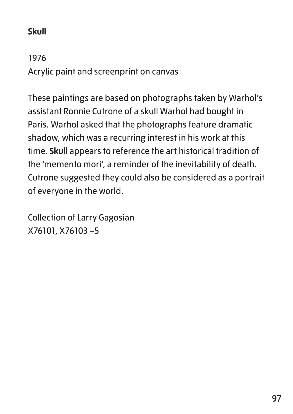# **Skull**

1976 Acrylic paint and screenprint on canvas

These paintings are based on photographs taken by Warhol's assistant Ronnie Cutrone of a skull Warhol had bought in Paris. Warhol asked that the photographs feature dramatic shadow, which was a recurring interest in his work at this time. **Skull** appears to reference the art historical tradition of the 'memento mori', a reminder of the inevitability of death. Cutrone suggested they could also be considered as a portrait of everyone in the world.

Collection of Larry Gagosian X76101, X76103 –5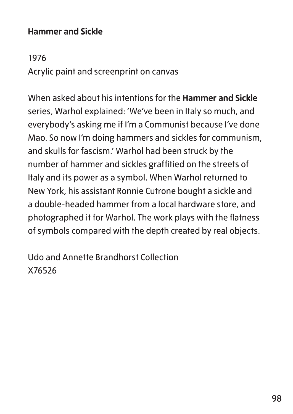### **Hammer and Sickle**

1976 Acrylic paint and screenprint on canvas

When asked about his intentions for the **Hammer and Sickle** series, Warhol explained: 'We've been in Italy so much, and everybody's asking me if I'm a Communist because I've done Mao. So now I'm doing hammers and sickles for communism, and skulls for fascism.' Warhol had been struck by the number of hammer and sickles graffitied on the streets of Italy and its power as a symbol. When Warhol returned to New York, his assistant Ronnie Cutrone bought a sickle and a double-headed hammer from a local hardware store, and photographed it for Warhol. The work plays with the flatness of symbols compared with the depth created by real objects.

Udo and Annette Brandhorst Collection X76526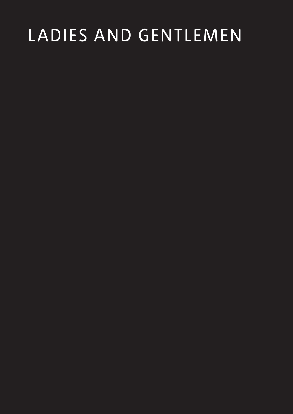# LADIES AND GENTLEMEN

- 
- 
- 
- -
- 
-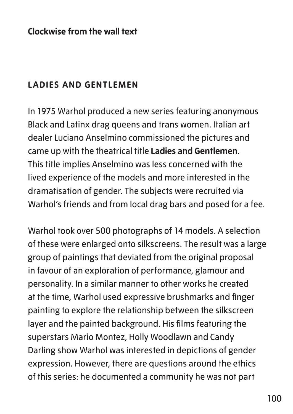### **Clockwise from the wall text**

### **LADIES AND GENTLEMEN**

In 1975 Warhol produced a new series featuring anonymous Black and Latinx drag queens and trans women. Italian art dealer Luciano Anselmino commissioned the pictures and came up with the theatrical title **Ladies and Gentlemen**. This title implies Anselmino was less concerned with the lived experience of the models and more interested in the dramatisation of gender. The subjects were recruited via Warhol's friends and from local drag bars and posed for a fee.

Warhol took over 500 photographs of 14 models. A selection of these were enlarged onto silkscreens. The result was a large group of paintings that deviated from the original proposal in favour of an exploration of performance, glamour and personality. In a similar manner to other works he created at the time, Warhol used expressive brushmarks and finger painting to explore the relationship between the silkscreen layer and the painted background. His films featuring the superstars Mario Montez, Holly Woodlawn and Candy Darling show Warhol was interested in depictions of gender expression. However, there are questions around the ethics of this series: he documented a community he was not part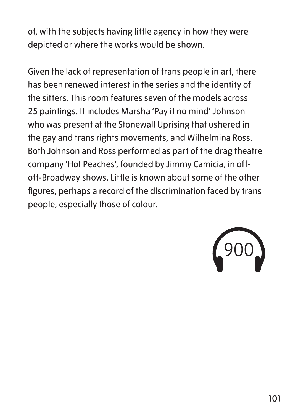of, with the subjects having little agency in how they were depicted or where the works would be shown.

Given the lack of representation of trans people in art, there has been renewed interest in the series and the identity of the sitters. This room features seven of the models across 25 paintings. It includes Marsha 'Pay it no mind' Johnson who was present at the Stonewall Uprising that ushered in the gay and trans rights movements, and Wilhelmina Ross. Both Johnson and Ross performed as part of the drag theatre company 'Hot Peaches', founded by Jimmy Camicia, in offoff-Broadway shows. Little is known about some of the other figures, perhaps a record of the discrimination faced by trans people, especially those of colour.

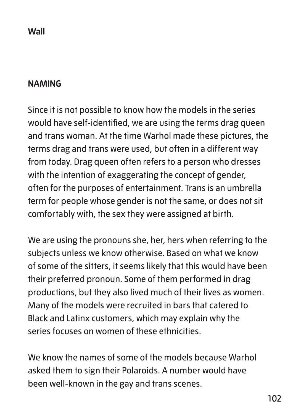### **Wall**

### **NAMING**

Since it is not possible to know how the models in the series would have self-identified, we are using the terms drag queen and trans woman. At the time Warhol made these pictures, the terms drag and trans were used, but often in a different way from today. Drag queen often refers to a person who dresses with the intention of exaggerating the concept of gender, often for the purposes of entertainment. Trans is an umbrella term for people whose gender is not the same, or does not sit comfortably with, the sex they were assigned at birth.

We are using the pronouns she, her, hers when referring to the subjects unless we know otherwise. Based on what we know of some of the sitters, it seems likely that this would have been their preferred pronoun. Some of them performed in drag productions, but they also lived much of their lives as women. Many of the models were recruited in bars that catered to Black and Latinx customers, which may explain why the series focuses on women of these ethnicities.

We know the names of some of the models because Warhol asked them to sign their Polaroids. A number would have been well-known in the gay and trans scenes.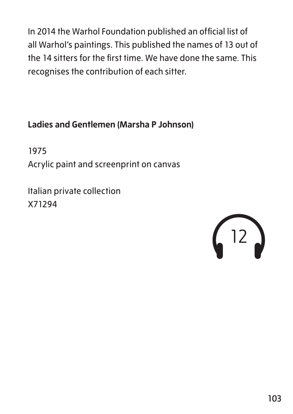In 2014 the Warhol Foundation published an official list of all Warhol's paintings. This published the names of 13 out of the 14 sitters for the first time. We have done the same. This recognises the contribution of each sitter.

# **Ladies and Gentlemen (Marsha P Johnson)**

1975 Acrylic paint and screenprint on canvas

Italian private collection X71294

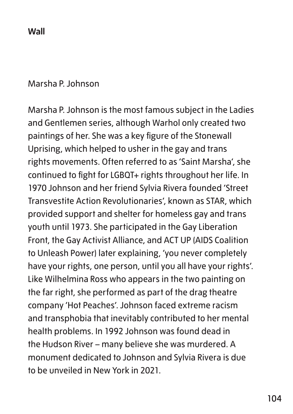**Wall**

#### Marsha P. Johnson

Marsha P. Johnson is the most famous subject in the Ladies and Gentlemen series, although Warhol only created two paintings of her. She was a key figure of the Stonewall Uprising, which helped to usher in the gay and trans rights movements. Often referred to as 'Saint Marsha', she continued to fight for LGBQT+ rights throughout her life. In 1970 Johnson and her friend Sylvia Rivera founded 'Street Transvestite Action Revolutionaries', known as STAR, which provided support and shelter for homeless gay and trans youth until 1973. She participated in the Gay Liberation Front, the Gay Activist Alliance, and ACT UP (AIDS Coalition to Unleash Power) later explaining, 'you never completely have your rights, one person, until you all have your rights'. Like Wilhelmina Ross who appears in the two painting on the far right, she performed as part of the drag theatre company 'Hot Peaches'. Johnson faced extreme racism and transphobia that inevitably contributed to her mental health problems. In 1992 Johnson was found dead in the Hudson River – many believe she was murdered. A monument dedicated to Johnson and Sylvia Rivera is due to be unveiled in New York in 2021.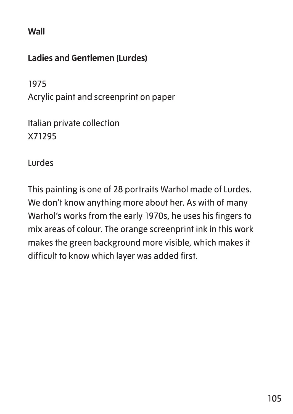**Wall**

# **Ladies and Gentlemen (Lurdes)**

1975

Acrylic paint and screenprint on paper

Italian private collection X71295

Lurdes

This painting is one of 28 portraits Warhol made of Lurdes. We don't know anything more about her. As with of many Warhol's works from the early 1970s, he uses his fingers to mix areas of colour. The orange screenprint ink in this work makes the green background more visible, which makes it difficult to know which layer was added first.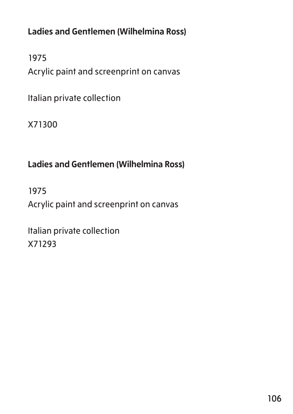**Ladies and Gentlemen (Wilhelmina Ross)**

1975 Acrylic paint and screenprint on canvas

Italian private collection

X71300

# **Ladies and Gentlemen (Wilhelmina Ross)**

1975 Acrylic paint and screenprint on canvas

Italian private collection X71293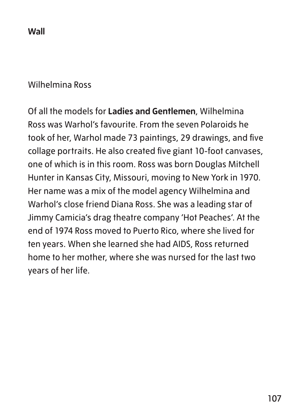**Wall**

### Wilhelmina Ross

Of all the models for **Ladies and Gentlemen**, Wilhelmina Ross was Warhol's favourite. From the seven Polaroids he took of her, Warhol made 73 paintings, 29 drawings, and five collage portraits. He also created five giant 10-foot canvases, one of which is in this room. Ross was born Douglas Mitchell Hunter in Kansas City, Missouri, moving to New York in 1970. Her name was a mix of the model agency Wilhelmina and Warhol's close friend Diana Ross. She was a leading star of Jimmy Camicia's drag theatre company 'Hot Peaches'. At the end of 1974 Ross moved to Puerto Rico, where she lived for ten years. When she learned she had AIDS, Ross returned home to her mother, where she was nursed for the last two years of her life.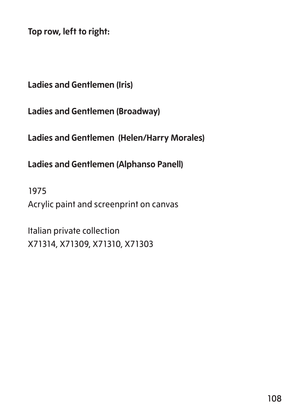**Top row, left to right:**

**Ladies and Gentlemen (Iris)**

**Ladies and Gentlemen (Broadway)**

**Ladies and Gentlemen (Helen/Harry Morales)**

**Ladies and Gentlemen (Alphanso Panell)**

1975 Acrylic paint and screenprint on canvas

Italian private collection X71314, X71309, X71310, X71303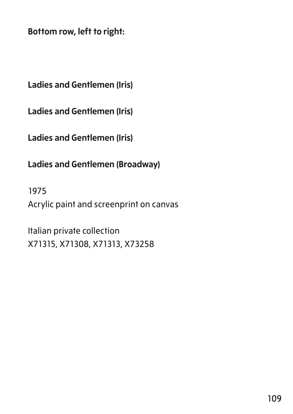**Bottom row, left to right:**

**Ladies and Gentlemen (Iris)**

**Ladies and Gentlemen (Iris)**

**Ladies and Gentlemen (Iris)**

**Ladies and Gentlemen (Broadway)**

1975 Acrylic paint and screenprint on canvas

Italian private collection X71315, X71308, X71313, X73258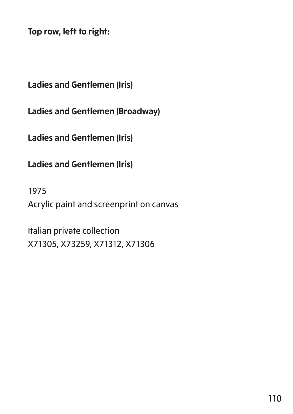**Top row, left to right:**

**Ladies and Gentlemen (Iris)**

**Ladies and Gentlemen (Broadway)**

**Ladies and Gentlemen (Iris)**

**Ladies and Gentlemen (Iris)**

1975 Acrylic paint and screenprint on canvas

Italian private collection X71305, X73259, X71312, X71306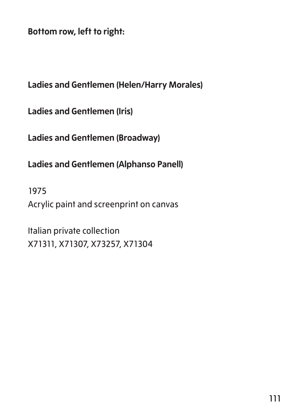**Bottom row, left to right:**

**Ladies and Gentlemen (Helen/Harry Morales)**

**Ladies and Gentlemen (Iris)**

**Ladies and Gentlemen (Broadway)**

**Ladies and Gentlemen (Alphanso Panell)**

1975 Acrylic paint and screenprint on canvas

Italian private collection X71311, X71307, X73257, X71304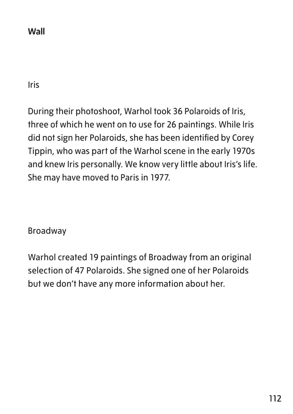**Wall**

Iris

During their photoshoot, Warhol took 36 Polaroids of Iris, three of which he went on to use for 26 paintings. While Iris did not sign her Polaroids, she has been identified by Corey Tippin, who was part of the Warhol scene in the early 1970s and knew Iris personally. We know very little about Iris's life. She may have moved to Paris in 1977.

Broadway

Warhol created 19 paintings of Broadway from an original selection of 47 Polaroids. She signed one of her Polaroids but we don't have any more information about her.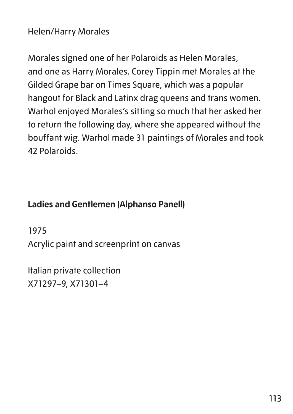Helen/Harry Morales

Morales signed one of her Polaroids as Helen Morales, and one as Harry Morales. Corey Tippin met Morales at the Gilded Grape bar on Times Square, which was a popular hangout for Black and Latinx drag queens and trans women. Warhol enjoyed Morales's sitting so much that her asked her to return the following day, where she appeared without the bouffant wig. Warhol made 31 paintings of Morales and took 42 Polaroids.

#### **Ladies and Gentlemen (Alphanso Panell)**

1975

Acrylic paint and screenprint on canvas

Italian private collection X71297–9, X71301–4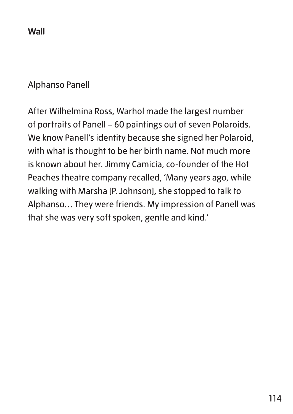**Wall**

#### Alphanso Panell

After Wilhelmina Ross, Warhol made the largest number of portraits of Panell – 60 paintings out of seven Polaroids. We know Panell's identity because she signed her Polaroid, with what is thought to be her birth name. Not much more is known about her. Jimmy Camicia, co-founder of the Hot Peaches theatre company recalled, 'Many years ago, while walking with Marsha [P. Johnson], she stopped to talk to Alphanso… They were friends. My impression of Panell was that she was very soft spoken, gentle and kind.'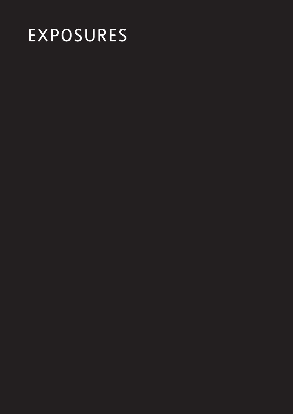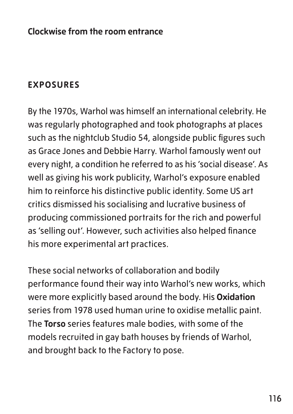#### **Clockwise from the room entrance**

## **EXPOSURES**

By the 1970s, Warhol was himself an international celebrity. He was regularly photographed and took photographs at places such as the nightclub Studio 54, alongside public figures such as Grace Jones and Debbie Harry. Warhol famously went out every night, a condition he referred to as his 'social disease'. As well as giving his work publicity, Warhol's exposure enabled him to reinforce his distinctive public identity. Some US art critics dismissed his socialising and lucrative business of producing commissioned portraits for the rich and powerful as 'selling out'. However, such activities also helped finance his more experimental art practices.

These social networks of collaboration and bodily performance found their way into Warhol's new works, which were more explicitly based around the body. His **Oxidation** series from 1978 used human urine to oxidise metallic paint. The **Torso** series features male bodies, with some of the models recruited in gay bath houses by friends of Warhol, and brought back to the Factory to pose.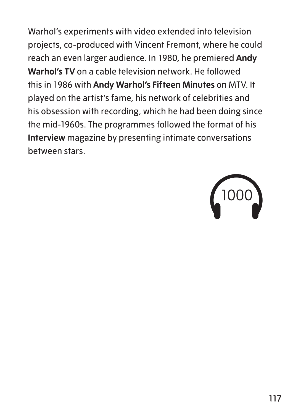Warhol's experiments with video extended into television projects, co-produced with Vincent Fremont, where he could reach an even larger audience. In 1980, he premiered **Andy Warhol's TV** on a cable television network. He followed this in 1986 with **Andy Warhol's Fifteen Minutes** on MTV. It played on the artist's fame, his network of celebrities and his obsession with recording, which he had been doing since the mid-1960s. The programmes followed the format of his **Interview** magazine by presenting intimate conversations between stars.

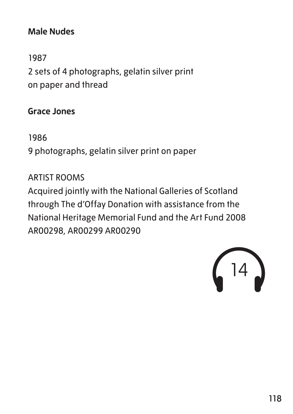### **Male Nudes**

1987 2 sets of 4 photographs, gelatin silver print on paper and thread

#### **Grace Jones**

1986

9 photographs, gelatin silver print on paper

ARTIST ROOMS Acquired jointly with the National Galleries of Scotland through The d'Offay Donation with assistance from the National Heritage Memorial Fund and the Art Fund 2008 AR00298, AR00299 AR00290

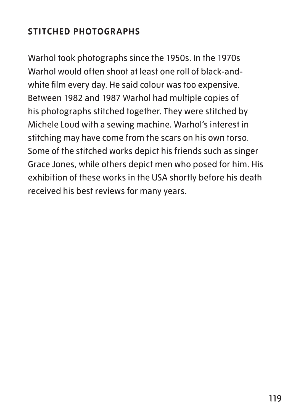# **STITCHED PHOTOGRAPHS**

Warhol took photographs since the 1950s. In the 1970s Warhol would often shoot at least one roll of black-andwhite film every day. He said colour was too expensive. Between 1982 and 1987 Warhol had multiple copies of his photographs stitched together. They were stitched by Michele Loud with a sewing machine. Warhol's interest in stitching may have come from the scars on his own torso. Some of the stitched works depict his friends such as singer Grace Jones, while others depict men who posed for him. His exhibition of these works in the USA shortly before his death received his best reviews for many years.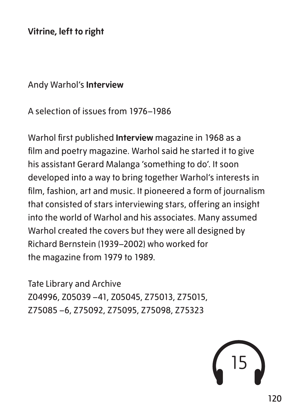**Vitrine, left to right**

#### Andy Warhol's **Interview**

A selection of issues from 1976–1986

Warhol first published **Interview** magazine in 1968 as a film and poetry magazine. Warhol said he started it to give his assistant Gerard Malanga 'something to do'. It soon developed into a way to bring together Warhol's interests in film, fashion, art and music. It pioneered a form of journalism that consisted of stars interviewing stars, offering an insight into the world of Warhol and his associates. Many assumed Warhol created the covers but they were all designed by Richard Bernstein (1939–2002) who worked for the magazine from 1979 to 1989.

Tate Library and Archive Z04996, Z05039 –41, Z05045, Z75013, Z75015, Z75085 –6, Z75092, Z75095, Z75098, Z75323

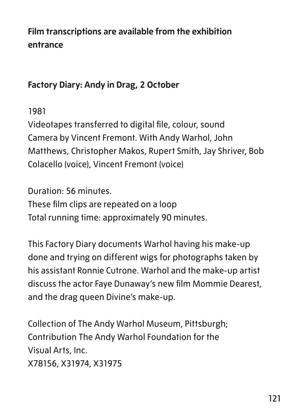# **Film transcriptions are available from the exhibition entrance**

## **Factory Diary: Andy in Drag, 2 October**

1981

Videotapes transferred to digital file, colour, sound Camera by Vincent Fremont. With Andy Warhol, John Matthews, Christopher Makos, Rupert Smith, Jay Shriver, Bob Colacello (voice), Vincent Fremont (voice)

Duration: 56 minutes. These film clips are repeated on a loop Total running time: approximately 90 minutes.

This Factory Diary documents Warhol having his make-up done and trying on different wigs for photographs taken by his assistant Ronnie Cutrone. Warhol and the make-up artist discuss the actor Faye Dunaway's new film Mommie Dearest, and the drag queen Divine's make-up.

Collection of The Andy Warhol Museum, Pittsburgh; Contribution The Andy Warhol Foundation for the Visual Arts, Inc. X78156, X31974, X31975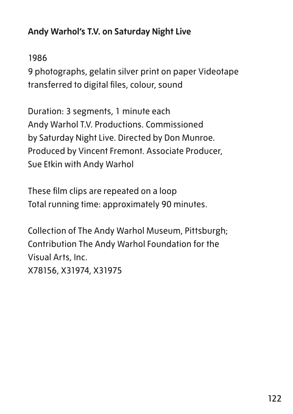# **Andy Warhol's T.V. on Saturday Night Live**

## 1986

9 photographs, gelatin silver print on paper Videotape transferred to digital files, colour, sound

Duration: 3 segments, 1 minute each Andy Warhol T.V. Productions. Commissioned by Saturday Night Live. Directed by Don Munroe. Produced by Vincent Fremont. Associate Producer, Sue Etkin with Andy Warhol

These film clips are repeated on a loop Total running time: approximately 90 minutes.

Collection of The Andy Warhol Museum, Pittsburgh; Contribution The Andy Warhol Foundation for the Visual Arts, Inc. X78156, X31974, X31975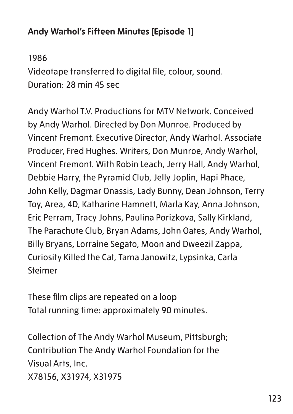# **Andy Warhol's Fifteen Minutes [Episode 1]**

1986 Videotape transferred to digital file, colour, sound. Duration: 28 min 45 sec

Andy Warhol T.V. Productions for MTV Network. Conceived by Andy Warhol. Directed by Don Munroe. Produced by Vincent Fremont. Executive Director, Andy Warhol. Associate Producer, Fred Hughes. Writers, Don Munroe, Andy Warhol, Vincent Fremont. With Robin Leach, Jerry Hall, Andy Warhol, Debbie Harry, the Pyramid Club, Jelly Joplin, Hapi Phace, John Kelly, Dagmar Onassis, Lady Bunny, Dean Johnson, Terry Toy, Area, 4D, Katharine Hamnett, Marla Kay, Anna Johnson, Eric Perram, Tracy Johns, Paulina Porizkova, Sally Kirkland, The Parachute Club, Bryan Adams, John Oates, Andy Warhol, Billy Bryans, Lorraine Segato, Moon and Dweezil Zappa, Curiosity Killed the Cat, Tama Janowitz, Lypsinka, Carla Steimer

These film clips are repeated on a loop Total running time: approximately 90 minutes.

Collection of The Andy Warhol Museum, Pittsburgh; Contribution The Andy Warhol Foundation for the Visual Arts, Inc. X78156, X31974, X31975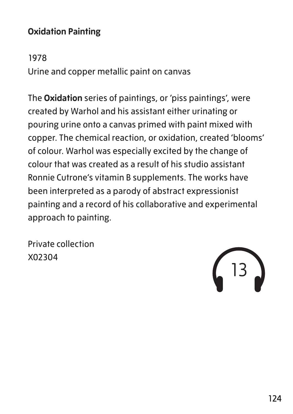## **Oxidation Painting**

1978

Urine and copper metallic paint on canvas

The **Oxidation** series of paintings, or 'piss paintings', were created by Warhol and his assistant either urinating or pouring urine onto a canvas primed with paint mixed with copper. The chemical reaction, or oxidation, created 'blooms' of colour. Warhol was especially excited by the change of colour that was created as a result of his studio assistant Ronnie Cutrone's vitamin B supplements. The works have been interpreted as a parody of abstract expressionist painting and a record of his collaborative and experimental approach to painting.

Private collection X02304

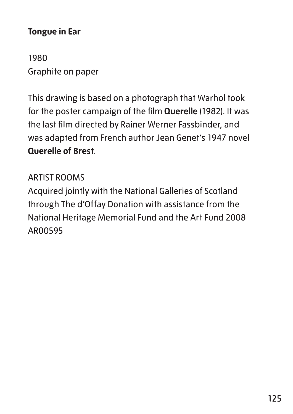#### **Tongue in Ear**

1980 Graphite on paper

This drawing is based on a photograph that Warhol took for the poster campaign of the film **Querelle** (1982). It was the last film directed by Rainer Werner Fassbinder, and was adapted from French author Jean Genet's 1947 novel **Querelle of Brest**.

## ARTIST ROOMS

Acquired jointly with the National Galleries of Scotland through The d'Offay Donation with assistance from the National Heritage Memorial Fund and the Art Fund 2008 AR00595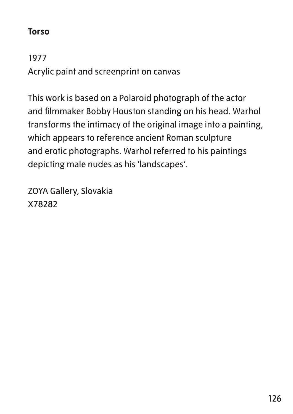#### **Torso**

1977 Acrylic paint and screenprint on canvas

This work is based on a Polaroid photograph of the actor and filmmaker Bobby Houston standing on his head. Warhol transforms the intimacy of the original image into a painting, which appears to reference ancient Roman sculpture and erotic photographs. Warhol referred to his paintings depicting male nudes as his 'landscapes'.

ZOYA Gallery, Slovakia X78282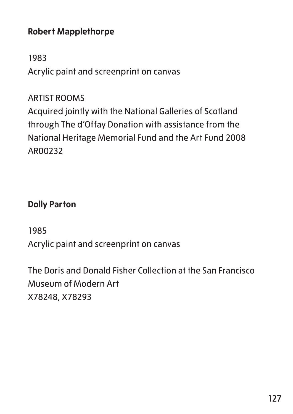## **Robert Mapplethorpe**

#### 1983

Acrylic paint and screenprint on canvas

### ARTIST ROOMS

Acquired jointly with the National Galleries of Scotland through The d'Offay Donation with assistance from the National Heritage Memorial Fund and the Art Fund 2008 AR00232

## **Dolly Parton**

## 1985

Acrylic paint and screenprint on canvas

The Doris and Donald Fisher Collection at the San Francisco Museum of Modern Art X78248, X78293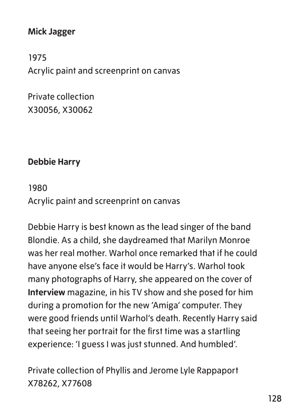## **Mick Jagger**

1975 Acrylic paint and screenprint on canvas

Private collection X30056, X30062

## **Debbie Harry**

## 1980 Acrylic paint and screenprint on canvas

Debbie Harry is best known as the lead singer of the band Blondie. As a child, she daydreamed that Marilyn Monroe was her real mother. Warhol once remarked that if he could have anyone else's face it would be Harry's. Warhol took many photographs of Harry, she appeared on the cover of **Interview** magazine, in his TV show and she posed for him during a promotion for the new 'Amiga' computer. They were good friends until Warhol's death. Recently Harry said that seeing her portrait for the first time was a startling experience: 'I guess I was just stunned. And humbled'.

Private collection of Phyllis and Jerome Lyle Rappaport X78262, X77608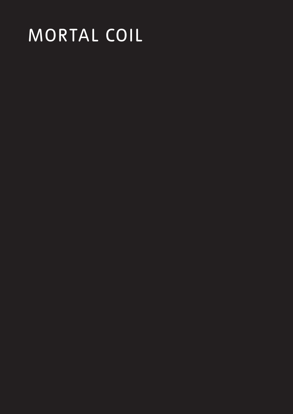# MORTAL COIL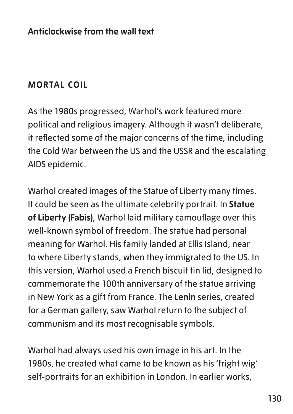# **MORTAL COIL**

As the 1980s progressed, Warhol's work featured more political and religious imagery. Although it wasn't deliberate, it reflected some of the major concerns of the time, including the Cold War between the US and the USSR and the escalating AIDS epidemic.

Warhol created images of the Statue of Liberty many times. It could be seen as the ultimate celebrity portrait. In **Statue of Liberty (Fabis)**, Warhol laid military camouflage over this well-known symbol of freedom. The statue had personal meaning for Warhol. His family landed at Ellis Island, near to where Liberty stands, when they immigrated to the US. In this version, Warhol used a French biscuit tin lid, designed to commemorate the 100th anniversary of the statue arriving in New York as a gift from France. The **Lenin** series, created for a German gallery, saw Warhol return to the subject of communism and its most recognisable symbols.

Warhol had always used his own image in his art. In the 1980s, he created what came to be known as his 'fright wig' self-portraits for an exhibition in London. In earlier works,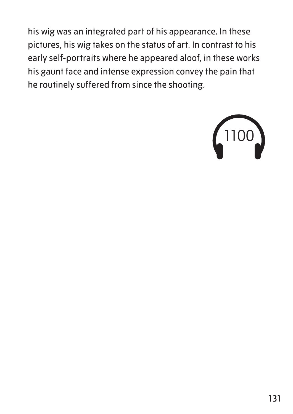his wig was an integrated part of his appearance. In these pictures, his wig takes on the status of art. In contrast to his early self-portraits where he appeared aloof, in these works his gaunt face and intense expression convey the pain that he routinely suffered from since the shooting.

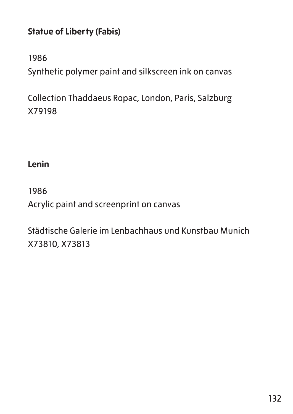# **Statue of Liberty (Fabis)**

1986

Synthetic polymer paint and silkscreen ink on canvas

Collection Thaddaeus Ropac, London, Paris, Salzburg X79198

**Lenin**

1986 Acrylic paint and screenprint on canvas

Städtische Galerie im Lenbachhaus und Kunstbau Munich X73810, X73813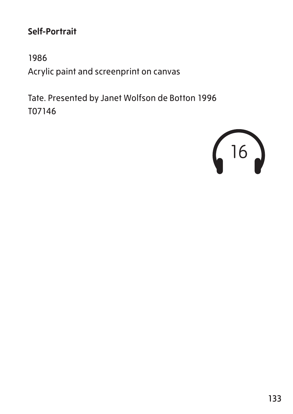# **Self-Portrait**

1986 Acrylic paint and screenprint on canvas

Tate. Presented by Janet Wolfson de Botton 1996 T07146

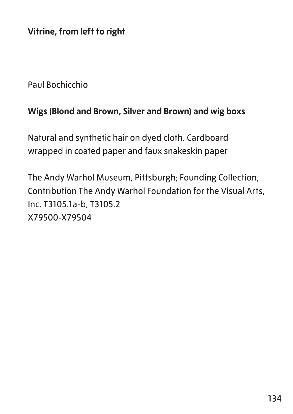**Vitrine, from left to right**

Paul Bochicchio

#### **Wigs (Blond and Brown, Silver and Brown) and wig boxs**

Natural and synthetic hair on dyed cloth. Cardboard wrapped in coated paper and faux snakeskin paper

The Andy Warhol Museum, Pittsburgh; Founding Collection, Contribution The Andy Warhol Foundation for the Visual Arts, Inc. T3105.1a-b, T3105.2 X79500-X79504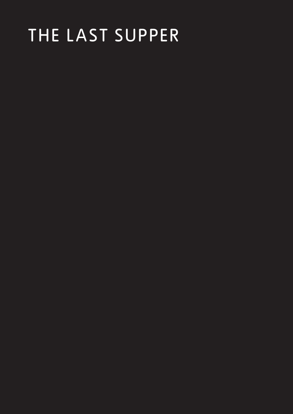# THE LAST SUPPER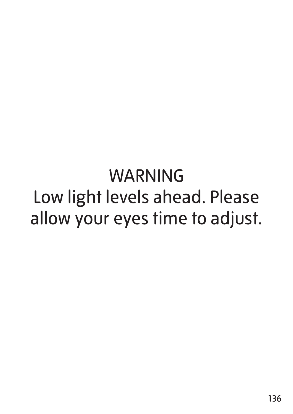# WARNING Low light levels ahead. Please allow your eyes time to adjust.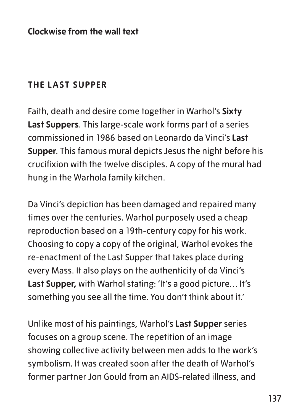**Clockwise from the wall text**

#### **THE LAST SUPPER**

Faith, death and desire come together in Warhol's **Sixty Last Suppers**. This large-scale work forms part of a series commissioned in 1986 based on Leonardo da Vinci's **Last Supper**. This famous mural depicts Jesus the night before his crucifixion with the twelve disciples. A copy of the mural had hung in the Warhola family kitchen.

Da Vinci's depiction has been damaged and repaired many times over the centuries. Warhol purposely used a cheap reproduction based on a 19th-century copy for his work. Choosing to copy a copy of the original, Warhol evokes the re-enactment of the Last Supper that takes place during every Mass. It also plays on the authenticity of da Vinci's Last Supper, with Warhol stating: 'It's a good picture... It's something you see all the time. You don't think about it.'

Unlike most of his paintings, Warhol's **Last Supper** series focuses on a group scene. The repetition of an image showing collective activity between men adds to the work's symbolism. It was created soon after the death of Warhol's former partner Jon Gould from an AIDS-related illness, and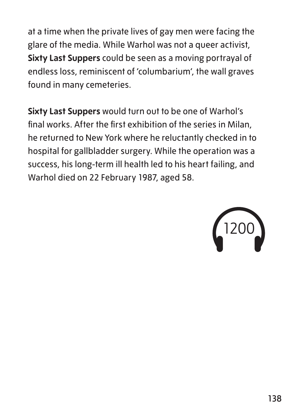at a time when the private lives of gay men were facing the glare of the media. While Warhol was not a queer activist, **Sixty Last Suppers** could be seen as a moving portrayal of endless loss, reminiscent of 'columbarium', the wall graves found in many cemeteries.

**Sixty Last Suppers** would turn out to be one of Warhol's final works. After the first exhibition of the series in Milan, he returned to New York where he reluctantly checked in to hospital for gallbladder surgery. While the operation was a success, his long-term ill health led to his heart failing, and Warhol died on 22 February 1987, aged 58.

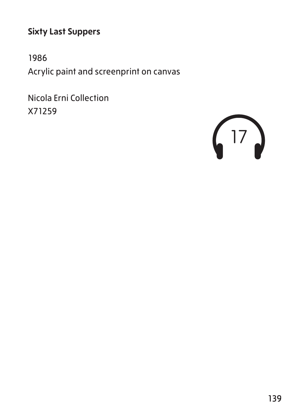### **Sixty Last Suppers**

1986 Acrylic paint and screenprint on canvas

Nicola Erni Collection X71259

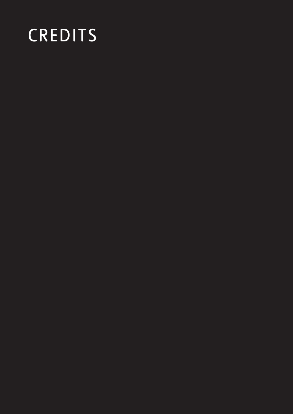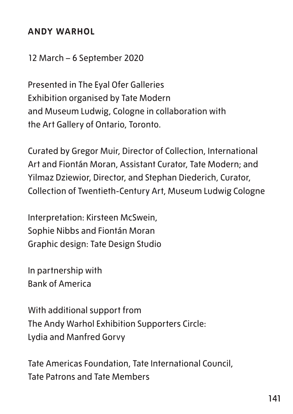#### **ANDY WARHOL**

12 March – 6 September 2020

Presented in The Eyal Ofer Galleries Exhibition organised by Tate Modern and Museum Ludwig, Cologne in collaboration with the Art Gallery of Ontario, Toronto.

Curated by Gregor Muir, Director of Collection, International Art and Fiontán Moran, Assistant Curator, Tate Modern; and Yilmaz Dziewior, Director, and Stephan Diederich, Curator, Collection of Twentieth-Century Art, Museum Ludwig Cologne

Interpretation: Kirsteen McSwein, Sophie Nibbs and Fiontán Moran Graphic design: Tate Design Studio

In partnership with Bank of America

With additional support from The Andy Warhol Exhibition Supporters Circle: Lydia and Manfred Gorvy

Tate Americas Foundation, Tate International Council, Tate Patrons and Tate Members